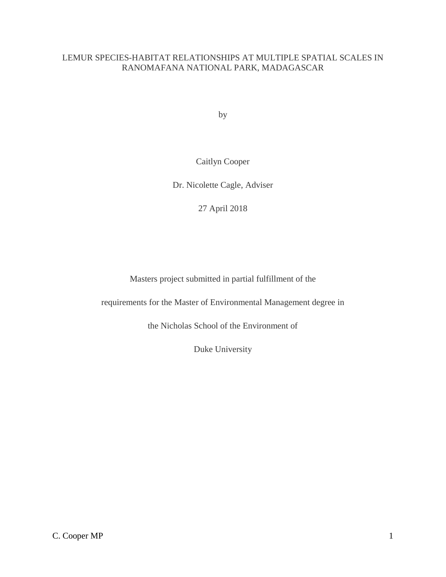# LEMUR SPECIES-HABITAT RELATIONSHIPS AT MULTIPLE SPATIAL SCALES IN RANOMAFANA NATIONAL PARK, MADAGASCAR

by

Caitlyn Cooper

Dr. Nicolette Cagle, Adviser

27 April 2018

Masters project submitted in partial fulfillment of the

requirements for the Master of Environmental Management degree in

the Nicholas School of the Environment of

Duke University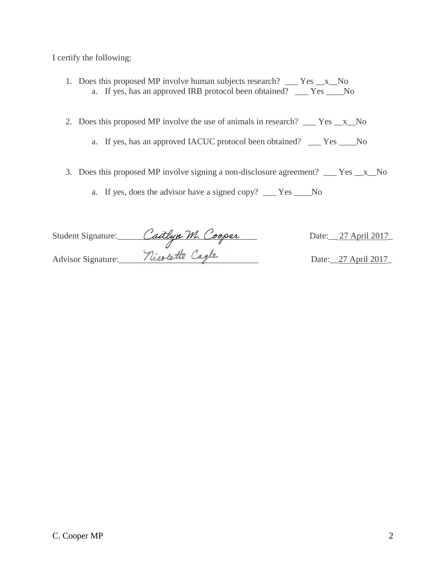I certify the following:

- 1. Does this proposed MP involve human subjects research? \_\_\_ Yes \_\_x\_\_No a. If yes, has an approved IRB protocol been obtained? \_\_\_ Yes \_\_\_\_No
- 2. Does this proposed MP involve the use of animals in research? \_\_\_ Yes \_\_x\_No
	- a. If yes, has an approved IACUC protocol been obtained? \_\_\_ Yes \_\_\_\_No
- 3. Does this proposed MP involve signing a non-disclosure agreement? \_\_\_ Yes \_\_x\_\_No
	- a. If yes, does the advisor have a signed copy? \_\_\_ Yes \_\_\_\_No

| Student Signature: | Caitlyn M. Cooper | Date: 27 April 2017 |
|--------------------|-------------------|---------------------|
|                    |                   |                     |
| Advisor Signature: | nicolette Cagle   | Date: 27 April 2017 |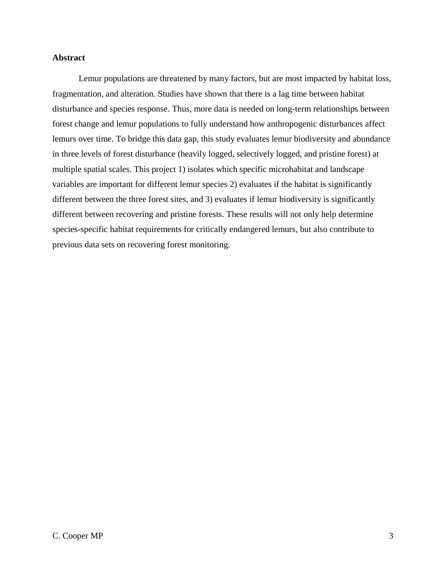## **Abstract**

Lemur populations are threatened by many factors, but are most impacted by habitat loss, fragmentation, and alteration. Studies have shown that there is a lag time between habitat disturbance and species response. Thus, more data is needed on long-term relationships between forest change and lemur populations to fully understand how anthropogenic disturbances affect lemurs over time. To bridge this data gap, this study evaluates lemur biodiversity and abundance in three levels of forest disturbance (heavily logged, selectively logged, and pristine forest) at multiple spatial scales. This project 1) isolates which specific microhabitat and landscape variables are important for different lemur species 2) evaluates if the habitat is significantly different between the three forest sites, and 3) evaluates if lemur biodiversity is significantly different between recovering and pristine forests. These results will not only help determine species-specific habitat requirements for critically endangered lemurs, but also contribute to previous data sets on recovering forest monitoring.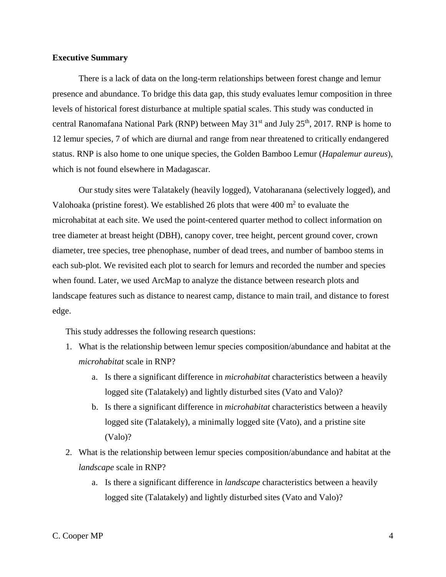## **Executive Summary**

There is a lack of data on the long-term relationships between forest change and lemur presence and abundance. To bridge this data gap, this study evaluates lemur composition in three levels of historical forest disturbance at multiple spatial scales. This study was conducted in central Ranomafana National Park (RNP) between May  $31<sup>st</sup>$  and July  $25<sup>th</sup>$ , 2017. RNP is home to 12 lemur species, 7 of which are diurnal and range from near threatened to critically endangered status. RNP is also home to one unique species, the Golden Bamboo Lemur (*Hapalemur aureus*), which is not found elsewhere in Madagascar.

Our study sites were Talatakely (heavily logged), Vatoharanana (selectively logged), and Valohoaka (pristine forest). We established 26 plots that were  $400 \text{ m}^2$  to evaluate the microhabitat at each site. We used the point-centered quarter method to collect information on tree diameter at breast height (DBH), canopy cover, tree height, percent ground cover, crown diameter, tree species, tree phenophase, number of dead trees, and number of bamboo stems in each sub-plot. We revisited each plot to search for lemurs and recorded the number and species when found. Later, we used ArcMap to analyze the distance between research plots and landscape features such as distance to nearest camp, distance to main trail, and distance to forest edge.

This study addresses the following research questions:

- 1. What is the relationship between lemur species composition/abundance and habitat at the *microhabitat* scale in RNP?
	- a. Is there a significant difference in *microhabitat* characteristics between a heavily logged site (Talatakely) and lightly disturbed sites (Vato and Valo)?
	- b. Is there a significant difference in *microhabitat* characteristics between a heavily logged site (Talatakely), a minimally logged site (Vato), and a pristine site (Valo)?
- 2. What is the relationship between lemur species composition/abundance and habitat at the *landscape* scale in RNP?
	- a. Is there a significant difference in *landscape* characteristics between a heavily logged site (Talatakely) and lightly disturbed sites (Vato and Valo)?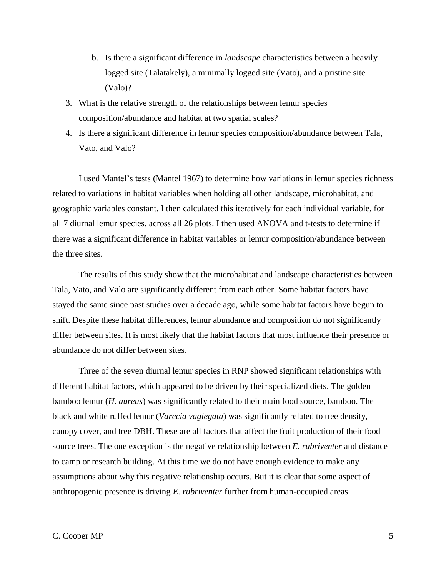- b. Is there a significant difference in *landscape* characteristics between a heavily logged site (Talatakely), a minimally logged site (Vato), and a pristine site (Valo)?
- 3. What is the relative strength of the relationships between lemur species composition/abundance and habitat at two spatial scales?
- 4. Is there a significant difference in lemur species composition/abundance between Tala, Vato, and Valo?

I used Mantel's tests (Mantel 1967) to determine how variations in lemur species richness related to variations in habitat variables when holding all other landscape, microhabitat, and geographic variables constant. I then calculated this iteratively for each individual variable, for all 7 diurnal lemur species, across all 26 plots. I then used ANOVA and t-tests to determine if there was a significant difference in habitat variables or lemur composition/abundance between the three sites.

The results of this study show that the microhabitat and landscape characteristics between Tala, Vato, and Valo are significantly different from each other. Some habitat factors have stayed the same since past studies over a decade ago, while some habitat factors have begun to shift. Despite these habitat differences, lemur abundance and composition do not significantly differ between sites. It is most likely that the habitat factors that most influence their presence or abundance do not differ between sites.

Three of the seven diurnal lemur species in RNP showed significant relationships with different habitat factors, which appeared to be driven by their specialized diets. The golden bamboo lemur (*H. aureus*) was significantly related to their main food source, bamboo. The black and white ruffed lemur (*Varecia vagiegata*) was significantly related to tree density, canopy cover, and tree DBH. These are all factors that affect the fruit production of their food source trees. The one exception is the negative relationship between *E. rubriventer* and distance to camp or research building. At this time we do not have enough evidence to make any assumptions about why this negative relationship occurs. But it is clear that some aspect of anthropogenic presence is driving *E. rubriventer* further from human-occupied areas.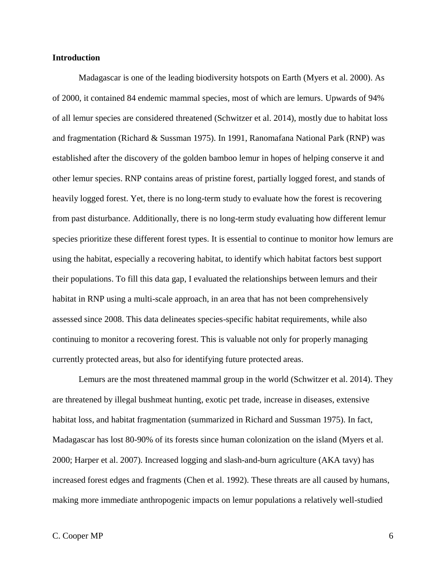## **Introduction**

Madagascar is one of the leading biodiversity hotspots on Earth (Myers et al. 2000). As of 2000, it contained 84 endemic mammal species, most of which are lemurs. Upwards of 94% of all lemur species are considered threatened (Schwitzer et al. 2014), mostly due to habitat loss and fragmentation (Richard & Sussman 1975). In 1991, Ranomafana National Park (RNP) was established after the discovery of the golden bamboo lemur in hopes of helping conserve it and other lemur species. RNP contains areas of pristine forest, partially logged forest, and stands of heavily logged forest. Yet, there is no long-term study to evaluate how the forest is recovering from past disturbance. Additionally, there is no long-term study evaluating how different lemur species prioritize these different forest types. It is essential to continue to monitor how lemurs are using the habitat, especially a recovering habitat, to identify which habitat factors best support their populations. To fill this data gap, I evaluated the relationships between lemurs and their habitat in RNP using a multi-scale approach, in an area that has not been comprehensively assessed since 2008. This data delineates species-specific habitat requirements, while also continuing to monitor a recovering forest. This is valuable not only for properly managing currently protected areas, but also for identifying future protected areas.

Lemurs are the most threatened mammal group in the world (Schwitzer et al. 2014). They are threatened by illegal bushmeat hunting, exotic pet trade, increase in diseases, extensive habitat loss, and habitat fragmentation (summarized in Richard and Sussman 1975). In fact, Madagascar has lost 80-90% of its forests since human colonization on the island (Myers et al. 2000; Harper et al. 2007). Increased logging and slash-and-burn agriculture (AKA tavy) has increased forest edges and fragments (Chen et al. 1992). These threats are all caused by humans, making more immediate anthropogenic impacts on lemur populations a relatively well-studied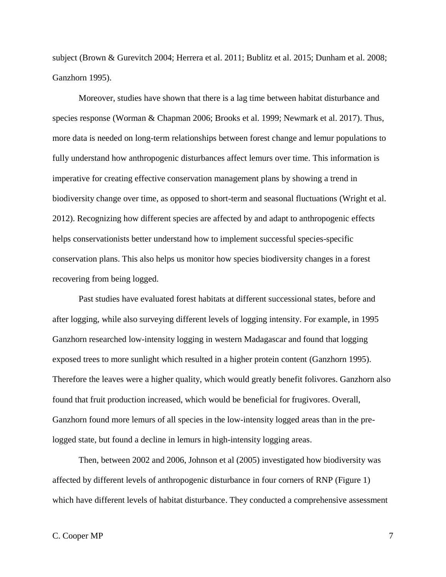subject (Brown & Gurevitch 2004; Herrera et al. 2011; Bublitz et al. 2015; Dunham et al. 2008; Ganzhorn 1995).

Moreover, studies have shown that there is a lag time between habitat disturbance and species response (Worman & Chapman 2006; Brooks et al. 1999; Newmark et al. 2017). Thus, more data is needed on long-term relationships between forest change and lemur populations to fully understand how anthropogenic disturbances affect lemurs over time. This information is imperative for creating effective conservation management plans by showing a trend in biodiversity change over time, as opposed to short-term and seasonal fluctuations (Wright et al. 2012). Recognizing how different species are affected by and adapt to anthropogenic effects helps conservationists better understand how to implement successful species-specific conservation plans. This also helps us monitor how species biodiversity changes in a forest recovering from being logged.

Past studies have evaluated forest habitats at different successional states, before and after logging, while also surveying different levels of logging intensity. For example, in 1995 Ganzhorn researched low-intensity logging in western Madagascar and found that logging exposed trees to more sunlight which resulted in a higher protein content (Ganzhorn 1995). Therefore the leaves were a higher quality, which would greatly benefit folivores. Ganzhorn also found that fruit production increased, which would be beneficial for frugivores. Overall, Ganzhorn found more lemurs of all species in the low-intensity logged areas than in the prelogged state, but found a decline in lemurs in high-intensity logging areas.

Then, between 2002 and 2006, Johnson et al (2005) investigated how biodiversity was affected by different levels of anthropogenic disturbance in four corners of RNP (Figure 1) which have different levels of habitat disturbance. They conducted a comprehensive assessment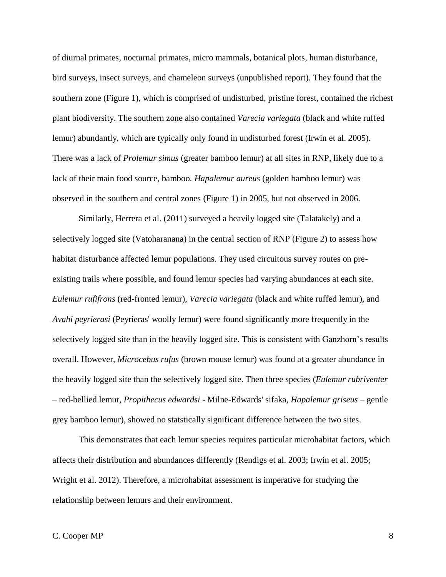of diurnal primates, nocturnal primates, micro mammals, botanical plots, human disturbance, bird surveys, insect surveys, and chameleon surveys (unpublished report). They found that the southern zone (Figure 1), which is comprised of undisturbed, pristine forest, contained the richest plant biodiversity. The southern zone also contained *Varecia variegata* (black and white ruffed lemur) abundantly, which are typically only found in undisturbed forest (Irwin et al. 2005). There was a lack of *Prolemur simus* (greater bamboo lemur) at all sites in RNP, likely due to a lack of their main food source, bamboo. *Hapalemur aureus* (golden bamboo lemur) was observed in the southern and central zones (Figure 1) in 2005, but not observed in 2006.

Similarly, Herrera et al. (2011) surveyed a heavily logged site (Talatakely) and a selectively logged site (Vatoharanana) in the central section of RNP (Figure 2) to assess how habitat disturbance affected lemur populations. They used circuitous survey routes on preexisting trails where possible, and found lemur species had varying abundances at each site. *Eulemur rufifrons* (red-fronted lemur), *Varecia variegata* (black and white ruffed lemur), and *Avahi peyrierasi* (Peyrieras' woolly lemur) were found significantly more frequently in the selectively logged site than in the heavily logged site. This is consistent with Ganzhorn's results overall. However, *Microcebus rufus* (brown mouse lemur) was found at a greater abundance in the heavily logged site than the selectively logged site. Then three species (*Eulemur rubriventer –* red-bellied lemur*, Propithecus edwardsi -* Milne-Edwards' sifaka*, Hapalemur griseus –* gentle grey bamboo lemur), showed no statstically significant difference between the two sites.

This demonstrates that each lemur species requires particular microhabitat factors, which affects their distribution and abundances differently (Rendigs et al. 2003; Irwin et al. 2005; Wright et al. 2012). Therefore, a microhabitat assessment is imperative for studying the relationship between lemurs and their environment.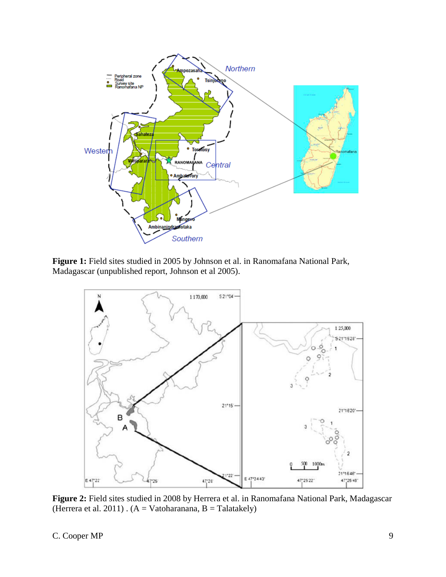

**Figure 1:** Field sites studied in 2005 by Johnson et al. in Ranomafana National Park, Madagascar (unpublished report, Johnson et al 2005).



**Figure 2:** Field sites studied in 2008 by Herrera et al. in Ranomafana National Park, Madagascar (Herrera et al. 2011) .  $(A = Vatoharanana, B = Talatakely)$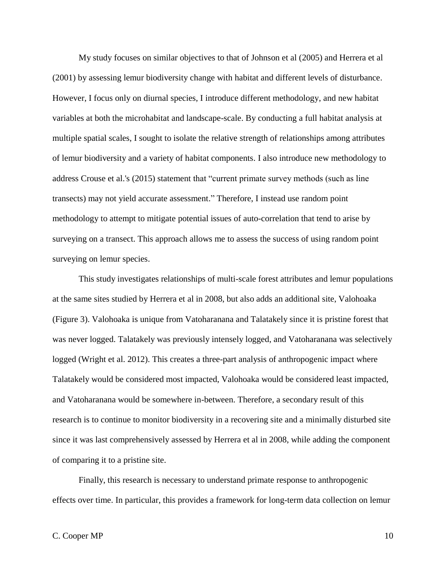My study focuses on similar objectives to that of Johnson et al (2005) and Herrera et al (2001) by assessing lemur biodiversity change with habitat and different levels of disturbance. However, I focus only on diurnal species, I introduce different methodology, and new habitat variables at both the microhabitat and landscape-scale. By conducting a full habitat analysis at multiple spatial scales, I sought to isolate the relative strength of relationships among attributes of lemur biodiversity and a variety of habitat components. I also introduce new methodology to address Crouse et al.'s (2015) statement that "current primate survey methods (such as line transects) may not yield accurate assessment." Therefore, I instead use random point methodology to attempt to mitigate potential issues of auto-correlation that tend to arise by surveying on a transect. This approach allows me to assess the success of using random point surveying on lemur species.

This study investigates relationships of multi-scale forest attributes and lemur populations at the same sites studied by Herrera et al in 2008, but also adds an additional site, Valohoaka (Figure 3). Valohoaka is unique from Vatoharanana and Talatakely since it is pristine forest that was never logged. Talatakely was previously intensely logged, and Vatoharanana was selectively logged (Wright et al. 2012). This creates a three-part analysis of anthropogenic impact where Talatakely would be considered most impacted, Valohoaka would be considered least impacted, and Vatoharanana would be somewhere in-between. Therefore, a secondary result of this research is to continue to monitor biodiversity in a recovering site and a minimally disturbed site since it was last comprehensively assessed by Herrera et al in 2008, while adding the component of comparing it to a pristine site.

Finally, this research is necessary to understand primate response to anthropogenic effects over time. In particular, this provides a framework for long-term data collection on lemur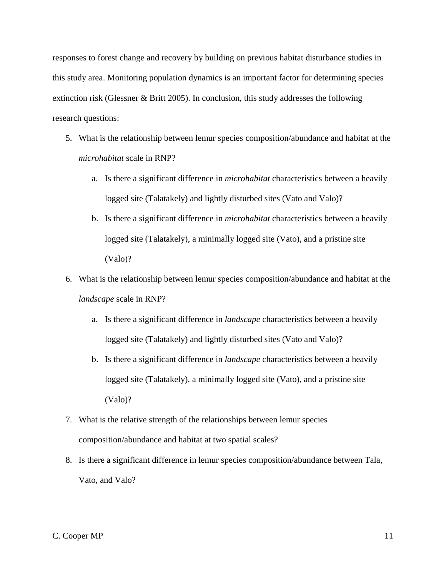responses to forest change and recovery by building on previous habitat disturbance studies in this study area. Monitoring population dynamics is an important factor for determining species extinction risk (Glessner & Britt 2005). In conclusion, this study addresses the following research questions:

- 5. What is the relationship between lemur species composition/abundance and habitat at the *microhabitat* scale in RNP?
	- a. Is there a significant difference in *microhabitat* characteristics between a heavily logged site (Talatakely) and lightly disturbed sites (Vato and Valo)?
	- b. Is there a significant difference in *microhabitat* characteristics between a heavily logged site (Talatakely), a minimally logged site (Vato), and a pristine site (Valo)?
- 6. What is the relationship between lemur species composition/abundance and habitat at the *landscape* scale in RNP?
	- a. Is there a significant difference in *landscape* characteristics between a heavily logged site (Talatakely) and lightly disturbed sites (Vato and Valo)?
	- b. Is there a significant difference in *landscape* characteristics between a heavily logged site (Talatakely), a minimally logged site (Vato), and a pristine site (Valo)?
- 7. What is the relative strength of the relationships between lemur species composition/abundance and habitat at two spatial scales?
- 8. Is there a significant difference in lemur species composition/abundance between Tala, Vato, and Valo?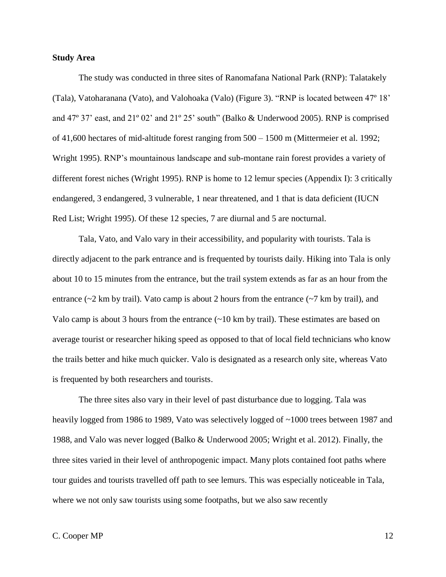## **Study Area**

The study was conducted in three sites of Ranomafana National Park (RNP): Talatakely (Tala), Vatoharanana (Vato), and Valohoaka (Valo) (Figure 3). "RNP is located between 47º 18' and 47º 37' east, and 21º 02' and 21º 25' south" (Balko & Underwood 2005). RNP is comprised of 41,600 hectares of mid-altitude forest ranging from 500 – 1500 m (Mittermeier et al. 1992; Wright 1995). RNP's mountainous landscape and sub-montane rain forest provides a variety of different forest niches (Wright 1995). RNP is home to 12 lemur species (Appendix I): 3 critically endangered, 3 endangered, 3 vulnerable, 1 near threatened, and 1 that is data deficient (IUCN Red List; Wright 1995). Of these 12 species, 7 are diurnal and 5 are nocturnal.

Tala, Vato, and Valo vary in their accessibility, and popularity with tourists. Tala is directly adjacent to the park entrance and is frequented by tourists daily. Hiking into Tala is only about 10 to 15 minutes from the entrance, but the trail system extends as far as an hour from the entrance ( $\sim$ 2 km by trail). Vato camp is about 2 hours from the entrance ( $\sim$ 7 km by trail), and Valo camp is about 3 hours from the entrance  $(\sim 10 \text{ km by trail})$ . These estimates are based on average tourist or researcher hiking speed as opposed to that of local field technicians who know the trails better and hike much quicker. Valo is designated as a research only site, whereas Vato is frequented by both researchers and tourists.

The three sites also vary in their level of past disturbance due to logging. Tala was heavily logged from 1986 to 1989, Vato was selectively logged of ~1000 trees between 1987 and 1988, and Valo was never logged (Balko & Underwood 2005; Wright et al. 2012). Finally, the three sites varied in their level of anthropogenic impact. Many plots contained foot paths where tour guides and tourists travelled off path to see lemurs. This was especially noticeable in Tala, where we not only saw tourists using some footpaths, but we also saw recently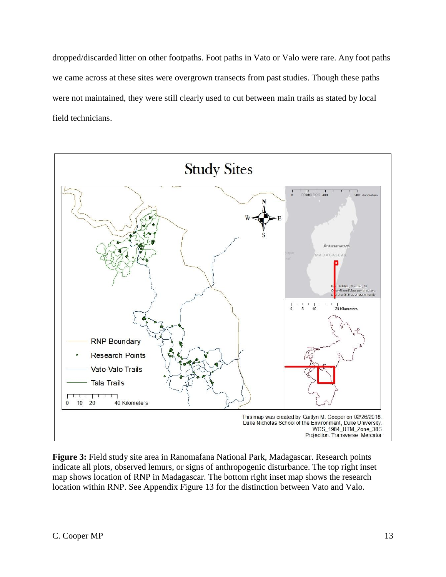dropped/discarded litter on other footpaths. Foot paths in Vato or Valo were rare. Any foot paths we came across at these sites were overgrown transects from past studies. Though these paths were not maintained, they were still clearly used to cut between main trails as stated by local field technicians.



**Figure 3:** Field study site area in Ranomafana National Park, Madagascar. Research points indicate all plots, observed lemurs, or signs of anthropogenic disturbance. The top right inset map shows location of RNP in Madagascar. The bottom right inset map shows the research location within RNP. See Appendix Figure 13 for the distinction between Vato and Valo.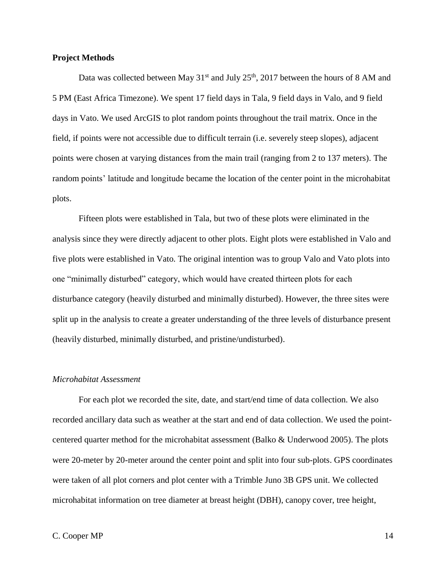#### **Project Methods**

Data was collected between May  $31<sup>st</sup>$  and July  $25<sup>th</sup>$ , 2017 between the hours of 8 AM and 5 PM (East Africa Timezone). We spent 17 field days in Tala, 9 field days in Valo, and 9 field days in Vato. We used ArcGIS to plot random points throughout the trail matrix. Once in the field, if points were not accessible due to difficult terrain (i.e. severely steep slopes), adjacent points were chosen at varying distances from the main trail (ranging from 2 to 137 meters). The random points' latitude and longitude became the location of the center point in the microhabitat plots.

Fifteen plots were established in Tala, but two of these plots were eliminated in the analysis since they were directly adjacent to other plots. Eight plots were established in Valo and five plots were established in Vato. The original intention was to group Valo and Vato plots into one "minimally disturbed" category, which would have created thirteen plots for each disturbance category (heavily disturbed and minimally disturbed). However, the three sites were split up in the analysis to create a greater understanding of the three levels of disturbance present (heavily disturbed, minimally disturbed, and pristine/undisturbed).

#### *Microhabitat Assessment*

For each plot we recorded the site, date, and start/end time of data collection. We also recorded ancillary data such as weather at the start and end of data collection. We used the pointcentered quarter method for the microhabitat assessment (Balko & Underwood 2005). The plots were 20-meter by 20-meter around the center point and split into four sub-plots. GPS coordinates were taken of all plot corners and plot center with a Trimble Juno 3B GPS unit. We collected microhabitat information on tree diameter at breast height (DBH), canopy cover, tree height,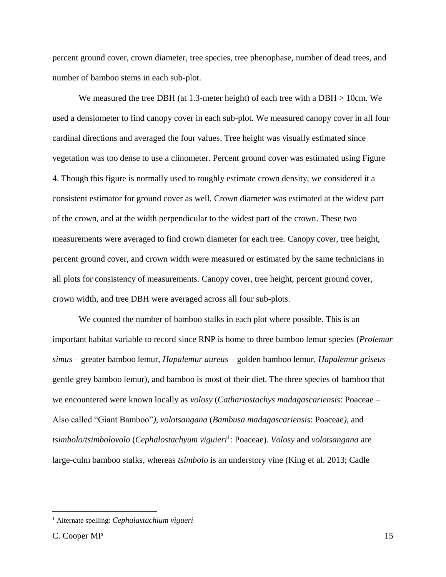percent ground cover, crown diameter, tree species, tree phenophase, number of dead trees, and number of bamboo stems in each sub-plot.

We measured the tree DBH (at 1.3-meter height) of each tree with a DBH > 10cm. We used a densiometer to find canopy cover in each sub-plot. We measured canopy cover in all four cardinal directions and averaged the four values. Tree height was visually estimated since vegetation was too dense to use a clinometer. Percent ground cover was estimated using Figure 4. Though this figure is normally used to roughly estimate crown density, we considered it a consistent estimator for ground cover as well. Crown diameter was estimated at the widest part of the crown, and at the width perpendicular to the widest part of the crown. These two measurements were averaged to find crown diameter for each tree. Canopy cover, tree height, percent ground cover, and crown width were measured or estimated by the same technicians in all plots for consistency of measurements. Canopy cover, tree height, percent ground cover, crown width, and tree DBH were averaged across all four sub-plots.

We counted the number of bamboo stalks in each plot where possible. This is an important habitat variable to record since RNP is home to three bamboo lemur species (*Prolemur simus –* greater bamboo lemur*, Hapalemur aureus –* golden bamboo lemur*, Hapalemur griseus –* gentle grey bamboo lemur), and bamboo is most of their diet. The three species of bamboo that we encountered were known locally as *volosy* (*Cathariostachys madagascariensis*: Poaceae – Also called "Giant Bamboo"*)*, *volotsangana* (*Bambusa madagascariensis*: Poaceae*)*, and *tsimbolo/tsimbolovolo* (*Cephalostachyum viguieri*<sup>1</sup> : Poaceae). *Volosy* and *volotsangana* are large-culm bamboo stalks, whereas *tsimbolo* is an understory vine (King et al. 2013; Cadle

 $\overline{a}$ 

<sup>1</sup> Alternate spelling: *Cephalastachium vigueri*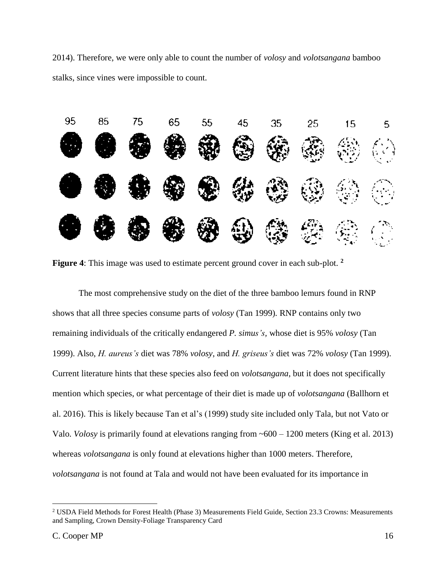2014). Therefore, we were only able to count the number of *volosy* and *volotsangana* bamboo stalks, since vines were impossible to count.



**Figure 4**: This image was used to estimate percent ground cover in each sub-plot. **<sup>2</sup>**

The most comprehensive study on the diet of the three bamboo lemurs found in RNP shows that all three species consume parts of *volosy* (Tan 1999)*.* RNP contains only two remaining individuals of the critically endangered *P. simus's,* whose diet is 95% *volosy* (Tan 1999). Also, *H. aureus's* diet was 78% *volosy*, and *H. griseus's* diet was 72% *volosy* (Tan 1999). Current literature hints that these species also feed on *volotsangana*, but it does not specifically mention which species, or what percentage of their diet is made up of *volotsangana* (Ballhorn et al. 2016). This is likely because Tan et al's (1999) study site included only Tala, but not Vato or Valo. *Volosy* is primarily found at elevations ranging from ~600 – 1200 meters (King et al. 2013) whereas *volotsangana* is only found at elevations higher than 1000 meters. Therefore, *volotsangana* is not found at Tala and would not have been evaluated for its importance in

 $\overline{a}$ 

<sup>2</sup> USDA Field Methods for Forest Health (Phase 3) Measurements Field Guide, Section 23.3 Crowns: Measurements and Sampling, Crown Density-Foliage Transparency Card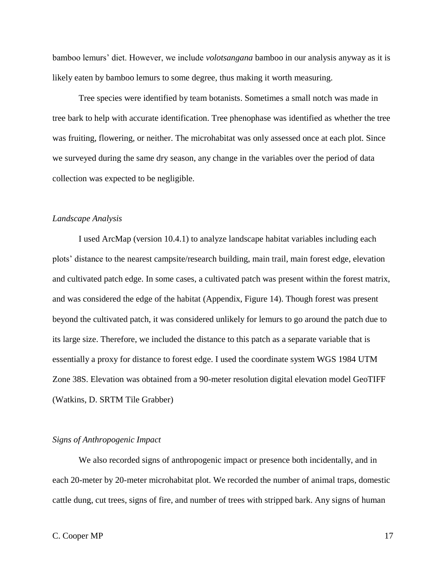bamboo lemurs' diet. However, we include *volotsangana* bamboo in our analysis anyway as it is likely eaten by bamboo lemurs to some degree, thus making it worth measuring.

Tree species were identified by team botanists. Sometimes a small notch was made in tree bark to help with accurate identification. Tree phenophase was identified as whether the tree was fruiting, flowering, or neither. The microhabitat was only assessed once at each plot. Since we surveyed during the same dry season, any change in the variables over the period of data collection was expected to be negligible.

## *Landscape Analysis*

I used ArcMap (version 10.4.1) to analyze landscape habitat variables including each plots' distance to the nearest campsite/research building, main trail, main forest edge, elevation and cultivated patch edge. In some cases, a cultivated patch was present within the forest matrix, and was considered the edge of the habitat (Appendix, Figure 14). Though forest was present beyond the cultivated patch, it was considered unlikely for lemurs to go around the patch due to its large size. Therefore, we included the distance to this patch as a separate variable that is essentially a proxy for distance to forest edge. I used the coordinate system WGS 1984 UTM Zone 38S. Elevation was obtained from a 90-meter resolution digital elevation model GeoTIFF (Watkins, D. SRTM Tile Grabber)

#### *Signs of Anthropogenic Impact*

We also recorded signs of anthropogenic impact or presence both incidentally, and in each 20-meter by 20-meter microhabitat plot. We recorded the number of animal traps, domestic cattle dung, cut trees, signs of fire, and number of trees with stripped bark. Any signs of human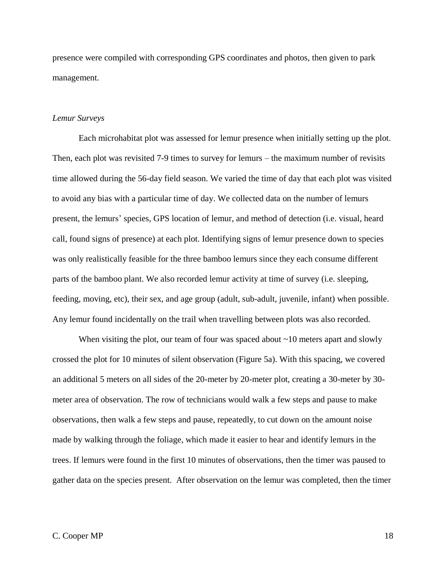presence were compiled with corresponding GPS coordinates and photos, then given to park management.

## *Lemur Surveys*

Each microhabitat plot was assessed for lemur presence when initially setting up the plot. Then, each plot was revisited 7-9 times to survey for lemurs – the maximum number of revisits time allowed during the 56-day field season. We varied the time of day that each plot was visited to avoid any bias with a particular time of day. We collected data on the number of lemurs present, the lemurs' species, GPS location of lemur, and method of detection (i.e. visual, heard call, found signs of presence) at each plot. Identifying signs of lemur presence down to species was only realistically feasible for the three bamboo lemurs since they each consume different parts of the bamboo plant. We also recorded lemur activity at time of survey (i.e. sleeping, feeding, moving, etc), their sex, and age group (adult, sub-adult, juvenile, infant) when possible. Any lemur found incidentally on the trail when travelling between plots was also recorded.

When visiting the plot, our team of four was spaced about  $\sim$ 10 meters apart and slowly crossed the plot for 10 minutes of silent observation (Figure 5a). With this spacing, we covered an additional 5 meters on all sides of the 20-meter by 20-meter plot, creating a 30-meter by 30 meter area of observation. The row of technicians would walk a few steps and pause to make observations, then walk a few steps and pause, repeatedly, to cut down on the amount noise made by walking through the foliage, which made it easier to hear and identify lemurs in the trees. If lemurs were found in the first 10 minutes of observations, then the timer was paused to gather data on the species present. After observation on the lemur was completed, then the timer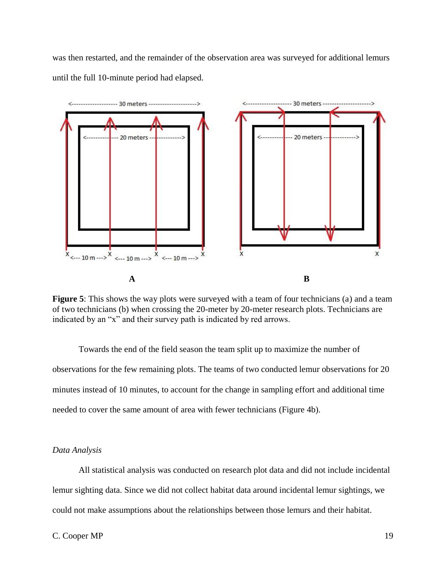was then restarted, and the remainder of the observation area was surveyed for additional lemurs until the full 10-minute period had elapsed.



**Figure 5**: This shows the way plots were surveyed with a team of four technicians (a) and a team of two technicians (b) when crossing the 20-meter by 20-meter research plots. Technicians are indicated by an "x" and their survey path is indicated by red arrows.

Towards the end of the field season the team split up to maximize the number of observations for the few remaining plots. The teams of two conducted lemur observations for 20 minutes instead of 10 minutes, to account for the change in sampling effort and additional time needed to cover the same amount of area with fewer technicians (Figure 4b).

## *Data Analysis*

All statistical analysis was conducted on research plot data and did not include incidental lemur sighting data. Since we did not collect habitat data around incidental lemur sightings, we could not make assumptions about the relationships between those lemurs and their habitat.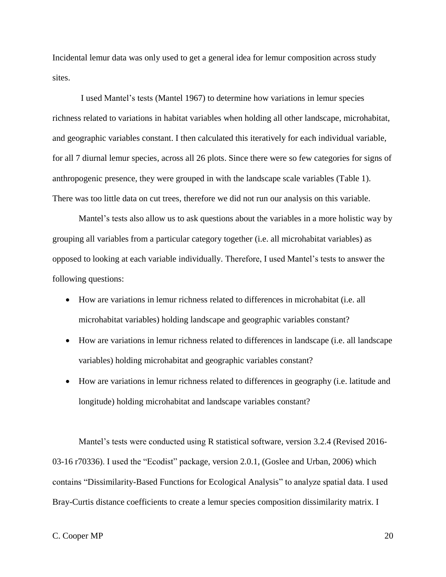Incidental lemur data was only used to get a general idea for lemur composition across study sites.

I used Mantel's tests (Mantel 1967) to determine how variations in lemur species richness related to variations in habitat variables when holding all other landscape, microhabitat, and geographic variables constant. I then calculated this iteratively for each individual variable, for all 7 diurnal lemur species, across all 26 plots. Since there were so few categories for signs of anthropogenic presence, they were grouped in with the landscape scale variables (Table 1). There was too little data on cut trees, therefore we did not run our analysis on this variable.

Mantel's tests also allow us to ask questions about the variables in a more holistic way by grouping all variables from a particular category together (i.e. all microhabitat variables) as opposed to looking at each variable individually. Therefore, I used Mantel's tests to answer the following questions:

- How are variations in lemur richness related to differences in microhabitat (i.e. all microhabitat variables) holding landscape and geographic variables constant?
- How are variations in lemur richness related to differences in landscape (i.e. all landscape variables) holding microhabitat and geographic variables constant?
- How are variations in lemur richness related to differences in geography (i.e. latitude and longitude) holding microhabitat and landscape variables constant?

Mantel's tests were conducted using R statistical software, version 3.2.4 (Revised 2016- 03-16 r70336). I used the "Ecodist" package, version 2.0.1, (Goslee and Urban, 2006) which contains "Dissimilarity-Based Functions for Ecological Analysis" to analyze spatial data. I used Bray-Curtis distance coefficients to create a lemur species composition dissimilarity matrix. I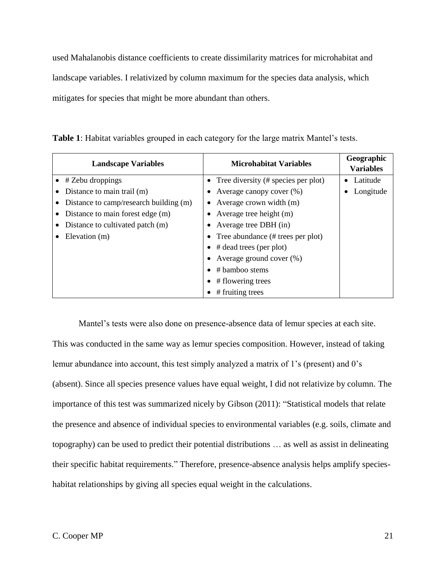used Mahalanobis distance coefficients to create dissimilarity matrices for microhabitat and landscape variables. I relativized by column maximum for the species data analysis, which mitigates for species that might be more abundant than others.

| <b>Landscape Variables</b>             | <b>Microhabitat Variables</b>                  | Geographic<br><b>Variables</b> |
|----------------------------------------|------------------------------------------------|--------------------------------|
| $\bullet$ # Zebu droppings             | • Tree diversity $(\#$ species per plot)       | Latitude                       |
| Distance to main trail (m)             | Average canopy cover (%)                       | Longitude                      |
| Distance to camp/research building (m) | Average crown width (m)<br>$\bullet$           |                                |
| Distance to main forest edge (m)       | Average tree height (m)                        |                                |
| Distance to cultivated patch (m)       | • Average tree DBH $(in)$                      |                                |
| Elevation (m)                          | • Tree abundance $(\# \text{ trees per plot})$ |                                |
|                                        | $\bullet$ # dead trees (per plot)              |                                |
|                                        | Average ground cover $(\%)$                    |                                |
|                                        | # bamboo stems                                 |                                |
|                                        | # flowering trees                              |                                |
|                                        | # fruiting trees                               |                                |

**Table 1**: Habitat variables grouped in each category for the large matrix Mantel's tests.

Mantel's tests were also done on presence-absence data of lemur species at each site.

This was conducted in the same way as lemur species composition. However, instead of taking lemur abundance into account, this test simply analyzed a matrix of 1's (present) and 0's (absent). Since all species presence values have equal weight, I did not relativize by column. The importance of this test was summarized nicely by Gibson (2011): "Statistical models that relate the presence and absence of individual species to environmental variables (e.g. soils, climate and topography) can be used to predict their potential distributions … as well as assist in delineating their specific habitat requirements." Therefore, presence-absence analysis helps amplify specieshabitat relationships by giving all species equal weight in the calculations.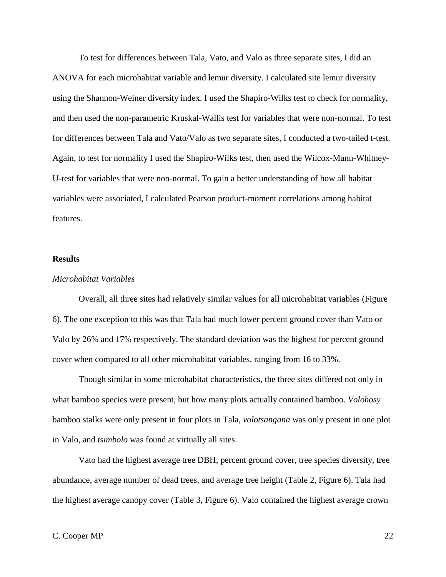To test for differences between Tala, Vato, and Valo as three separate sites, I did an ANOVA for each microhabitat variable and lemur diversity. I calculated site lemur diversity using the Shannon-Weiner diversity index. I used the Shapiro-Wilks test to check for normality, and then used the non-parametric Kruskal-Wallis test for variables that were non-normal. To test for differences between Tala and Vato/Valo as two separate sites, I conducted a two-tailed t-test. Again, to test for normality I used the Shapiro-Wilks test, then used the Wilcox-Mann-Whitney-U-test for variables that were non-normal. To gain a better understanding of how all habitat variables were associated, I calculated Pearson product-moment correlations among habitat features.

#### **Results**

## *Microhabitat Variables*

Overall, all three sites had relatively similar values for all microhabitat variables (Figure 6). The one exception to this was that Tala had much lower percent ground cover than Vato or Valo by 26% and 17% respectively. The standard deviation was the highest for percent ground cover when compared to all other microhabitat variables, ranging from 16 to 33%.

Though similar in some microhabitat characteristics, the three sites differed not only in what bamboo species were present, but how many plots actually contained bamboo. *Volohosy* bamboo stalks were only present in four plots in Tala, *volotsangana* was only present in one plot in Valo, and *tsimbolo* was found at virtually all sites.

Vato had the highest average tree DBH, percent ground cover, tree species diversity, tree abundance, average number of dead trees, and average tree height (Table 2, Figure 6). Tala had the highest average canopy cover (Table 3, Figure 6). Valo contained the highest average crown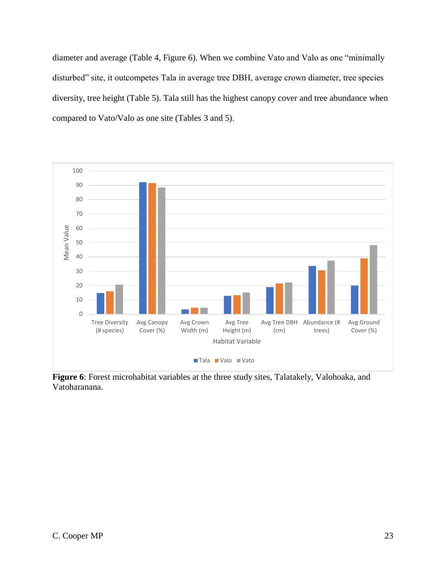diameter and average (Table 4, Figure 6). When we combine Vato and Valo as one "minimally disturbed" site, it outcompetes Tala in average tree DBH, average crown diameter, tree species diversity, tree height (Table 5). Tala still has the highest canopy cover and tree abundance when compared to Vato/Valo as one site (Tables 3 and 5).



**Figure 6**: Forest microhabitat variables at the three study sites, Talatakely, Valohoaka, and Vatoharanana.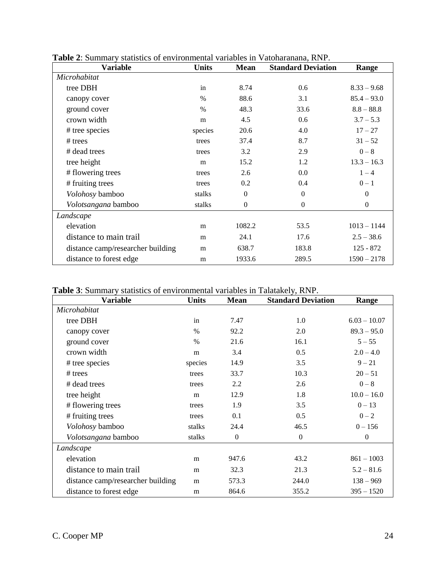| <b>Variable</b>                   | <b>Units</b> | <b>Mean</b>      | <b>Standard Deviation</b> | Range         |
|-----------------------------------|--------------|------------------|---------------------------|---------------|
| Microhabitat                      |              |                  |                           |               |
| tree DBH                          | in           | 8.74             | 0.6                       | $8.33 - 9.68$ |
| canopy cover                      | $\%$         | 88.6             | 3.1                       | $85.4 - 93.0$ |
| ground cover                      | $\%$         | 48.3             | 33.6                      | $8.8 - 88.8$  |
| crown width                       | m            | 4.5              | 0.6                       | $3.7 - 5.3$   |
| # tree species                    | species      | 20.6             | 4.0                       | $17 - 27$     |
| $#$ trees                         | trees        | 37.4             | 8.7                       | $31 - 52$     |
| # dead trees                      | trees        | 3.2              | 2.9                       | $0-8$         |
| tree height                       | m            | 15.2             | 1.2                       | $13.3 - 16.3$ |
| # flowering trees                 | trees        | 2.6              | 0.0                       | $1 - 4$       |
| # fruiting trees                  | trees        | 0.2              | 0.4                       | $0 - 1$       |
| Volohosy bamboo                   | stalks       | $\mathbf{0}$     | $\Omega$                  | $\Omega$      |
| Volotsangana bamboo               | stalks       | $\boldsymbol{0}$ | $\Omega$                  | $\Omega$      |
| Landscape                         |              |                  |                           |               |
| elevation                         | m            | 1082.2           | 53.5                      | $1013 - 1144$ |
| distance to main trail            | m            | 24.1             | 17.6                      | $2.5 - 38.6$  |
| distance camp/researcher building | m            | 638.7            | 183.8                     | $125 - 872$   |
| distance to forest edge           | m            | 1933.6           | 289.5                     | $1590 - 2178$ |

**Table 2**: Summary statistics of environmental variables in Vatoharanana, RNP.

**Table 3**: Summary statistics of environmental variables in Talatakely, RNP.

| Variable                          | <b>Units</b> | <b>Mean</b>  | <b>Standard Deviation</b> | Range          |
|-----------------------------------|--------------|--------------|---------------------------|----------------|
| Microhabitat                      |              |              |                           |                |
| tree DBH                          | in           | 7.47         | 1.0                       | $6.03 - 10.07$ |
| canopy cover                      | $\%$         | 92.2         | 2.0                       | $89.3 - 95.0$  |
| ground cover                      | $\%$         | 21.6         | 16.1                      | $5 - 55$       |
| crown width                       | m            | 3.4          | 0.5                       | $2.0 - 4.0$    |
| # tree species                    | species      | 14.9         | 3.5                       | $9 - 21$       |
| $#$ trees                         | trees        | 33.7         | 10.3                      | $20 - 51$      |
| # dead trees                      | trees        | 2.2          | 2.6                       | $0-8$          |
| tree height                       | m            | 12.9         | 1.8                       | $10.0 - 16.0$  |
| # flowering trees                 | trees        | 1.9          | 3.5                       | $0 - 13$       |
| # fruiting trees                  | trees        | 0.1          | 0.5                       | $0 - 2$        |
| Volohosy bamboo                   | stalks       | 24.4         | 46.5                      | $0 - 156$      |
| <i>Volotsangana</i> bamboo        | stalks       | $\mathbf{0}$ | $\overline{0}$            | $\Omega$       |
| Landscape                         |              |              |                           |                |
| elevation                         | m            | 947.6        | 43.2                      | $861 - 1003$   |
| distance to main trail            | m            | 32.3         | 21.3                      | $5.2 - 81.6$   |
| distance camp/researcher building | m            | 573.3        | 244.0                     | $138 - 969$    |
| distance to forest edge           | m            | 864.6        | 355.2                     | $395 - 1520$   |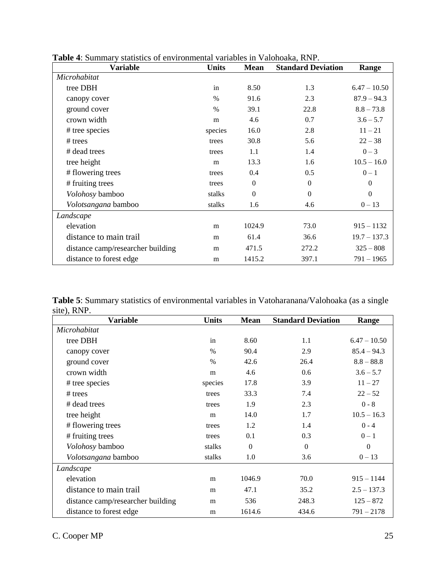| <b>Variable</b>                   | <b>Units</b> | <b>Mean</b> | <b>Standard Deviation</b> | Range          |
|-----------------------------------|--------------|-------------|---------------------------|----------------|
| Microhabitat                      |              |             |                           |                |
| tree DBH                          | in           | 8.50        | 1.3                       | $6.47 - 10.50$ |
| canopy cover                      | $\%$         | 91.6        | 2.3                       | $87.9 - 94.3$  |
| ground cover                      | $\%$         | 39.1        | 22.8                      | $8.8 - 73.8$   |
| crown width                       | m            | 4.6         | 0.7                       | $3.6 - 5.7$    |
| # tree species                    | species      | 16.0        | 2.8                       | $11 - 21$      |
| $#$ trees                         | trees        | 30.8        | 5.6                       | $22 - 38$      |
| # dead trees                      | trees        | 1.1         | 1.4                       | $0 - 3$        |
| tree height                       | m            | 13.3        | 1.6                       | $10.5 - 16.0$  |
| # flowering trees                 | trees        | 0.4         | 0.5                       | $0 - 1$        |
| # fruiting trees                  | trees        | $\Omega$    | $\Omega$                  | $\Omega$       |
| Volohosy bamboo                   | stalks       | $\Omega$    | $\Omega$                  | $\Omega$       |
| Volotsangana bamboo               | stalks       | 1.6         | 4.6                       | $0 - 13$       |
| Landscape                         |              |             |                           |                |
| elevation                         | m            | 1024.9      | 73.0                      | $915 - 1132$   |
| distance to main trail            | m            | 61.4        | 36.6                      | $19.7 - 137.3$ |
| distance camp/researcher building | m            | 471.5       | 272.2                     | $325 - 808$    |
| distance to forest edge           | m            | 1415.2      | 397.1                     | 791 – 1965     |

**Table 4**: Summary statistics of environmental variables in Valohoaka, RNP.

**Table 5**: Summary statistics of environmental variables in Vatoharanana/Valohoaka (as a single site), RNP.

| <b>Variable</b>                   | <b>Units</b>  | <b>Mean</b> | <b>Standard Deviation</b> | Range          |
|-----------------------------------|---------------|-------------|---------------------------|----------------|
| Microhabitat                      |               |             |                           |                |
| tree DBH                          | in            | 8.60        | 1.1                       | $6.47 - 10.50$ |
| canopy cover                      | $\frac{0}{0}$ | 90.4        | 2.9                       | $85.4 - 94.3$  |
| ground cover                      | $\frac{0}{0}$ | 42.6        | 26.4                      | $8.8 - 88.8$   |
| crown width                       | m             | 4.6         | 0.6                       | $3.6 - 5.7$    |
| # tree species                    | species       | 17.8        | 3.9                       | $11 - 27$      |
| $#$ trees                         | trees         | 33.3        | 7.4                       | $22 - 52$      |
| # dead trees                      | trees         | 1.9         | 2.3                       | $0 - 8$        |
| tree height                       | m             | 14.0        | 1.7                       | $10.5 - 16.3$  |
| # flowering trees                 | trees         | 1.2         | 1.4                       | $0 - 4$        |
| # fruiting trees                  | trees         | 0.1         | 0.3                       | $0 - 1$        |
| Volohosy bamboo                   | stalks        | $\Omega$    | $\Omega$                  | $\Omega$       |
| Volotsangana bamboo               | stalks        | 1.0         | 3.6                       | $0 - 13$       |
| Landscape                         |               |             |                           |                |
| elevation                         | m             | 1046.9      | 70.0                      | $915 - 1144$   |
| distance to main trail            | m             | 47.1        | 35.2                      | $2.5 - 137.3$  |
| distance camp/researcher building | m             | 536         | 248.3                     | $125 - 872$    |
| distance to forest edge           | m             | 1614.6      | 434.6                     | $791 - 2178$   |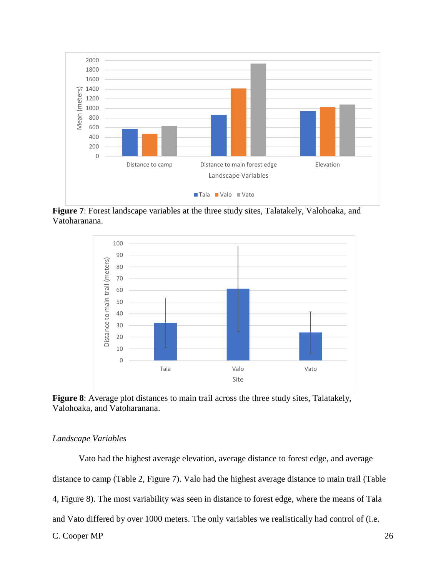

**Figure 7**: Forest landscape variables at the three study sites, Talatakely, Valohoaka, and Vatoharanana.



**Figure 8**: Average plot distances to main trail across the three study sites, Talatakely, Valohoaka, and Vatoharanana.

## *Landscape Variables*

C. Cooper MP 26 Vato had the highest average elevation, average distance to forest edge, and average distance to camp (Table 2, Figure 7). Valo had the highest average distance to main trail (Table 4, Figure 8). The most variability was seen in distance to forest edge, where the means of Tala and Vato differed by over 1000 meters. The only variables we realistically had control of (i.e.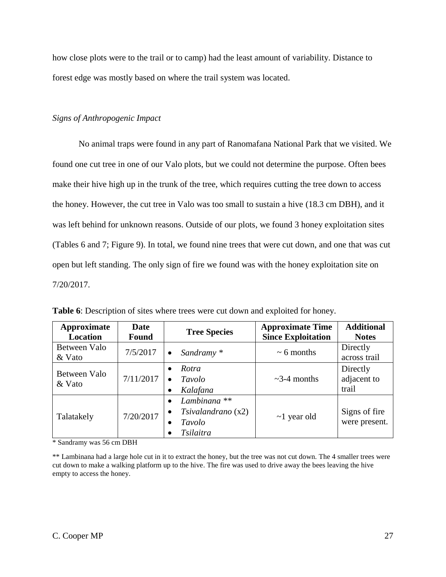how close plots were to the trail or to camp) had the least amount of variability. Distance to forest edge was mostly based on where the trail system was located.

## *Signs of Anthropogenic Impact*

No animal traps were found in any part of Ranomafana National Park that we visited. We found one cut tree in one of our Valo plots, but we could not determine the purpose. Often bees make their hive high up in the trunk of the tree, which requires cutting the tree down to access the honey. However, the cut tree in Valo was too small to sustain a hive (18.3 cm DBH), and it was left behind for unknown reasons. Outside of our plots, we found 3 honey exploitation sites (Tables 6 and 7; Figure 9). In total, we found nine trees that were cut down, and one that was cut open but left standing. The only sign of fire we found was with the honey exploitation site on 7/20/2017.

| Approximate<br>Location | <b>Date</b><br><b>Found</b> | <b>Tree Species</b>                                                                                | <b>Approximate Time</b><br><b>Since Exploitation</b> | <b>Additional</b><br><b>Notes</b> |
|-------------------------|-----------------------------|----------------------------------------------------------------------------------------------------|------------------------------------------------------|-----------------------------------|
| Between Valo<br>& Vato  | 7/5/2017                    | Sandramy *<br>$\bullet$                                                                            | $\sim 6$ months                                      | Directly<br>across trail          |
| Between Valo<br>& Vato  | 7/11/2017                   | Rotra<br>$\bullet$<br>Tavolo<br>Kalafana<br>$\bullet$                                              | $\sim$ 3-4 months                                    | Directly<br>adjacent to<br>trail  |
| Talatakely              | 7/20/2017                   | Lambinana <sup>**</sup><br>$\bullet$<br>Tsivalandrano(x2)<br>$\bullet$<br>Tavolo<br>٠<br>Tsilaitra | $\sim$ 1 year old                                    | Signs of fire<br>were present.    |

**Table 6**: Description of sites where trees were cut down and exploited for honey.

\* Sandramy was 56 cm DBH

\*\* Lambinana had a large hole cut in it to extract the honey, but the tree was not cut down. The 4 smaller trees were cut down to make a walking platform up to the hive. The fire was used to drive away the bees leaving the hive empty to access the honey.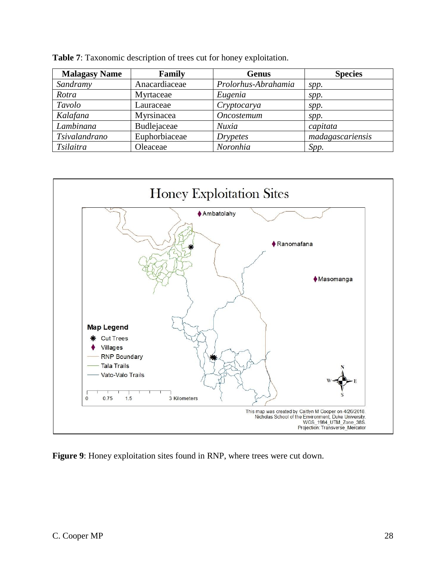| <b>Malagasy Name</b> | Family        | <b>Genus</b>        | <b>Species</b>   |
|----------------------|---------------|---------------------|------------------|
| Sandramy             | Anacardiaceae | Prolorhus-Abrahamia | spp.             |
| Rotra                | Myrtaceae     | Eugenia             | spp.             |
| Tavolo               | Lauraceae     | Cryptocarya         | spp.             |
| Kalafana             | Myrsinacea    | Oncostemum          | spp.             |
| Lambinana            | Budlejaceae   | Nuxia               | capitata         |
| Tsivalandrano        | Euphorbiaceae | <b>Drypetes</b>     | madagascariensis |
| Tsilaitra            | Oleaceae      | Noronhia            | Spp.             |

**Table 7**: Taxonomic description of trees cut for honey exploitation.



**Figure 9**: Honey exploitation sites found in RNP, where trees were cut down.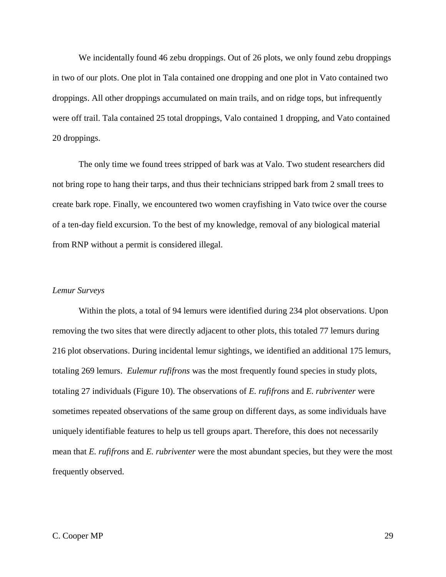We incidentally found 46 zebu droppings. Out of 26 plots, we only found zebu droppings in two of our plots. One plot in Tala contained one dropping and one plot in Vato contained two droppings. All other droppings accumulated on main trails, and on ridge tops, but infrequently were off trail. Tala contained 25 total droppings, Valo contained 1 dropping, and Vato contained 20 droppings.

The only time we found trees stripped of bark was at Valo. Two student researchers did not bring rope to hang their tarps, and thus their technicians stripped bark from 2 small trees to create bark rope. Finally, we encountered two women crayfishing in Vato twice over the course of a ten-day field excursion. To the best of my knowledge, removal of any biological material from RNP without a permit is considered illegal.

## *Lemur Surveys*

Within the plots, a total of 94 lemurs were identified during 234 plot observations. Upon removing the two sites that were directly adjacent to other plots, this totaled 77 lemurs during 216 plot observations. During incidental lemur sightings, we identified an additional 175 lemurs, totaling 269 lemurs. *Eulemur rufifrons* was the most frequently found species in study plots, totaling 27 individuals (Figure 10). The observations of *E. rufifrons* and *E. rubriventer* were sometimes repeated observations of the same group on different days, as some individuals have uniquely identifiable features to help us tell groups apart. Therefore, this does not necessarily mean that *E. rufifrons* and *E. rubriventer* were the most abundant species, but they were the most frequently observed.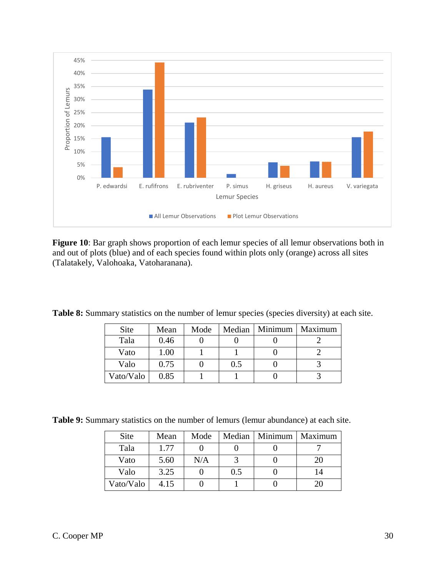

Figure 10: Bar graph shows proportion of each lemur species of all lemur observations both in and out of plots (blue) and of each species found within plots only (orange) across all sites (Talatakely, Valohoaka, Vatoharanana).

Table 8: Summary statistics on the number of lemur species (species diversity) at each site.

| <b>Site</b> | Mean | Mode |     | Median   Minimum | Maximum |
|-------------|------|------|-----|------------------|---------|
| Tala        | 0.46 |      |     |                  |         |
| Vato        | 1.00 |      |     |                  |         |
| Valo        | 0.75 |      | 0.5 |                  |         |
| Vato/Valo   | 0.85 |      |     |                  |         |

**Table 9:** Summary statistics on the number of lemurs (lemur abundance) at each site.

| <b>Site</b> | Mean | Mode |     | Median   Minimum | Maximum |
|-------------|------|------|-----|------------------|---------|
| Tala        | 1.77 |      |     |                  |         |
| Vato        | 5.60 | N/A  |     |                  | 20      |
| Valo        | 3.25 |      | 0.5 |                  | 14      |
| Vato/Valo   | 4.15 |      |     |                  |         |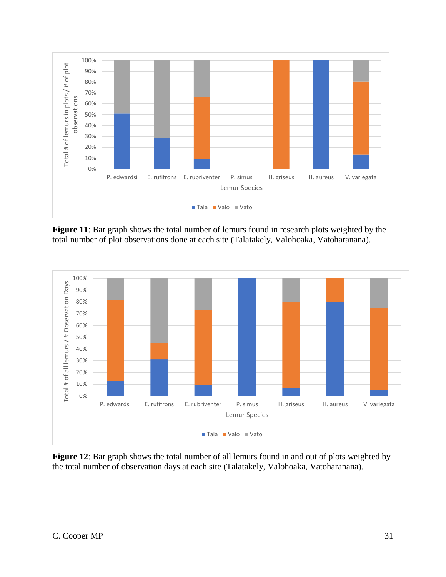

**Figure 11**: Bar graph shows the total number of lemurs found in research plots weighted by the total number of plot observations done at each site (Talatakely, Valohoaka, Vatoharanana).



**Figure 12**: Bar graph shows the total number of all lemurs found in and out of plots weighted by the total number of observation days at each site (Talatakely, Valohoaka, Vatoharanana).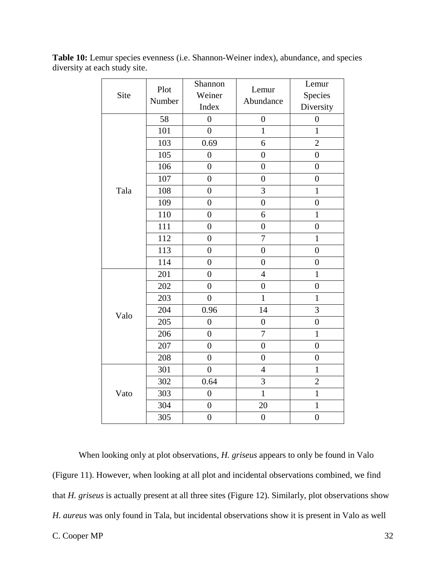| Site | Plot<br>Number | Shannon<br>Weiner<br>Index | Lemur<br>Abundance | Lemur<br>Species<br>Diversity |
|------|----------------|----------------------------|--------------------|-------------------------------|
|      | 58             | $\overline{0}$             | $\boldsymbol{0}$   | $\boldsymbol{0}$              |
|      | 101            | $\overline{0}$             | $\mathbf{1}$       | $\mathbf{1}$                  |
|      | 103            | 0.69                       | 6                  | $\overline{2}$                |
|      | 105            | $\overline{0}$             | $\overline{0}$     | $\overline{0}$                |
|      | 106            | $\overline{0}$             | $\overline{0}$     | $\boldsymbol{0}$              |
|      | 107            | $\overline{0}$             | $\overline{0}$     | $\overline{0}$                |
| Tala | 108            | $\boldsymbol{0}$           | $\overline{3}$     | $\mathbf{1}$                  |
|      | 109            | $\overline{0}$             | $\overline{0}$     | $\overline{0}$                |
|      | 110            | $\boldsymbol{0}$           | 6                  | $\mathbf{1}$                  |
|      | 111            | $\overline{0}$             | $\overline{0}$     | $\overline{0}$                |
|      | 112            | $\overline{0}$             | $\overline{7}$     | $\mathbf{1}$                  |
|      | 113            | $\overline{0}$             | $\overline{0}$     | $\overline{0}$                |
|      | 114            | $\overline{0}$             | $\overline{0}$     | $\overline{0}$                |
|      | 201            | $\overline{0}$             | $\overline{4}$     | $\mathbf{1}$                  |
|      | 202            | $\overline{0}$             | $\overline{0}$     | $\overline{0}$                |
|      | 203            | $\overline{0}$             | $\mathbf{1}$       | $\mathbf{1}$                  |
| Valo | 204            | 0.96                       | 14                 | 3                             |
|      | 205            | $\overline{0}$             | $\overline{0}$     | $\overline{0}$                |
|      | 206            | $\overline{0}$             | $\overline{7}$     | $\mathbf{1}$                  |
|      | 207            | $\overline{0}$             | $\overline{0}$     | $\overline{0}$                |
|      | 208            | $\boldsymbol{0}$           | $\boldsymbol{0}$   | $\boldsymbol{0}$              |
|      | 301            | $\overline{0}$             | $\overline{4}$     | $\mathbf{1}$                  |
|      | 302            | 0.64                       | 3                  | $\overline{c}$                |
| Vato | 303            | $\overline{0}$             | $\overline{1}$     | $\mathbf{1}$                  |
|      | 304            | $\boldsymbol{0}$           | 20                 | $\mathbf{1}$                  |
|      | 305            | $\boldsymbol{0}$           | $\boldsymbol{0}$   | $\overline{0}$                |

**Table 10:** Lemur species evenness (i.e. Shannon-Weiner index), abundance, and species diversity at each study site.

When looking only at plot observations*, H. griseus* appears to only be found in Valo (Figure 11). However, when looking at all plot and incidental observations combined, we find that *H. griseus* is actually present at all three sites (Figure 12). Similarly, plot observations show *H. aureus* was only found in Tala, but incidental observations show it is present in Valo as well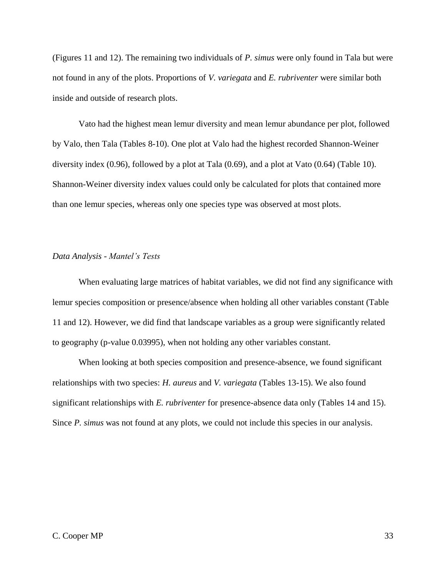(Figures 11 and 12). The remaining two individuals of *P. simus* were only found in Tala but were not found in any of the plots. Proportions of *V. variegata* and *E. rubriventer* were similar both inside and outside of research plots.

Vato had the highest mean lemur diversity and mean lemur abundance per plot, followed by Valo, then Tala (Tables 8-10). One plot at Valo had the highest recorded Shannon-Weiner diversity index (0.96), followed by a plot at Tala (0.69), and a plot at Vato (0.64) (Table 10). Shannon-Weiner diversity index values could only be calculated for plots that contained more than one lemur species, whereas only one species type was observed at most plots.

## *Data Analysis - Mantel's Tests*

When evaluating large matrices of habitat variables, we did not find any significance with lemur species composition or presence/absence when holding all other variables constant (Table 11 and 12). However, we did find that landscape variables as a group were significantly related to geography (p-value 0.03995), when not holding any other variables constant.

When looking at both species composition and presence-absence, we found significant relationships with two species: *H. aureus* and *V. variegata* (Tables 13-15). We also found significant relationships with *E. rubriventer* for presence-absence data only (Tables 14 and 15). Since *P. simus* was not found at any plots, we could not include this species in our analysis.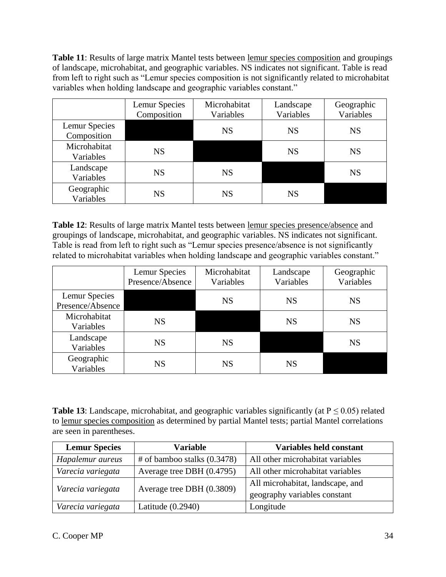**Table 11**: Results of large matrix Mantel tests between lemur species composition and groupings of landscape, microhabitat, and geographic variables. NS indicates not significant. Table is read from left to right such as "Lemur species composition is not significantly related to microhabitat variables when holding landscape and geographic variables constant."

|                              | Lemur Species<br>Composition | Microhabitat<br>Variables | Landscape<br>Variables | Geographic<br>Variables |
|------------------------------|------------------------------|---------------------------|------------------------|-------------------------|
| Lemur Species<br>Composition |                              | <b>NS</b>                 | <b>NS</b>              | <b>NS</b>               |
| Microhabitat<br>Variables    | <b>NS</b>                    |                           | <b>NS</b>              | <b>NS</b>               |
| Landscape<br>Variables       | <b>NS</b>                    | <b>NS</b>                 |                        | <b>NS</b>               |
| Geographic<br>Variables      | <b>NS</b>                    | <b>NS</b>                 | <b>NS</b>              |                         |

**Table 12**: Results of large matrix Mantel tests between lemur species presence/absence and groupings of landscape, microhabitat, and geographic variables. NS indicates not significant. Table is read from left to right such as "Lemur species presence/absence is not significantly related to microhabitat variables when holding landscape and geographic variables constant."

|                                   | Lemur Species<br>Presence/Absence | Microhabitat<br>Variables | Landscape<br>Variables | Geographic<br>Variables |
|-----------------------------------|-----------------------------------|---------------------------|------------------------|-------------------------|
| Lemur Species<br>Presence/Absence |                                   | <b>NS</b>                 | <b>NS</b>              | <b>NS</b>               |
| Microhabitat<br>Variables         | <b>NS</b>                         |                           | <b>NS</b>              | <b>NS</b>               |
| Landscape<br>Variables            | <b>NS</b>                         | <b>NS</b>                 |                        | <b>NS</b>               |
| Geographic<br>Variables           | <b>NS</b>                         | NS                        | <b>NS</b>              |                         |

**Table 13**: Landscape, microhabitat, and geographic variables significantly (at  $P \le 0.05$ ) related to lemur species composition as determined by partial Mantel tests; partial Mantel correlations are seen in parentheses.

| <b>Lemur Species</b> | <b>Variable</b>                | <b>Variables held constant</b>   |
|----------------------|--------------------------------|----------------------------------|
| Hapalemur aureus     | $\#$ of bamboo stalks (0.3478) | All other microhabitat variables |
| Varecia variegata    | Average tree DBH (0.4795)      | All other microhabitat variables |
| Varecia variegata    | Average tree DBH (0.3809)      | All microhabitat, landscape, and |
|                      |                                | geography variables constant     |
| Varecia variegata    | Latitude $(0.2940)$            | Longitude                        |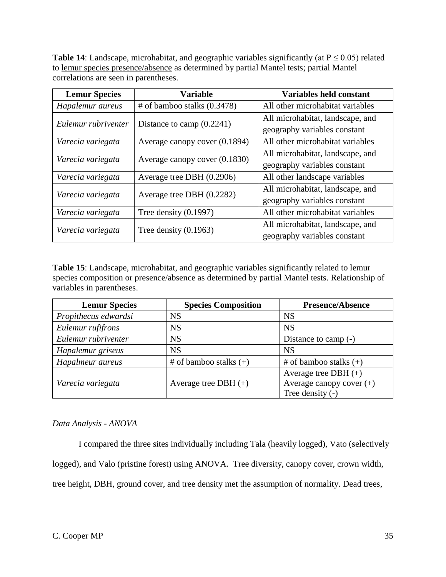**Table 14**: Landscape, microhabitat, and geographic variables significantly (at  $P \le 0.05$ ) related to lemur species presence/absence as determined by partial Mantel tests; partial Mantel correlations are seen in parentheses.

| <b>Lemur Species</b> | <b>Variable</b>                 | <b>Variables held constant</b>   |
|----------------------|---------------------------------|----------------------------------|
| Hapalemur aureus     | $#$ of bamboo stalks $(0.3478)$ | All other microhabitat variables |
| Eulemur rubriventer  | Distance to camp $(0.2241)$     | All microhabitat, landscape, and |
|                      |                                 | geography variables constant     |
| Varecia variegata    | Average canopy cover (0.1894)   | All other microhabitat variables |
| Varecia variegata    | Average canopy cover (0.1830)   | All microhabitat, landscape, and |
|                      |                                 | geography variables constant     |
| Varecia variegata    | Average tree DBH (0.2906)       | All other landscape variables    |
| Varecia variegata    | Average tree DBH (0.2282)       | All microhabitat, landscape, and |
|                      |                                 | geography variables constant     |
| Varecia variegata    | Tree density $(0.1997)$         | All other microhabitat variables |
| Varecia variegata    | Tree density $(0.1963)$         | All microhabitat, landscape, and |
|                      |                                 | geography variables constant     |

**Table 15**: Landscape, microhabitat, and geographic variables significantly related to lemur species composition or presence/absence as determined by partial Mantel tests. Relationship of variables in parentheses.

| <b>Lemur Species</b> | <b>Species Composition</b> | Presence/Absence            |
|----------------------|----------------------------|-----------------------------|
| Propithecus edwardsi | <b>NS</b>                  | <b>NS</b>                   |
| Eulemur rufifrons    | <b>NS</b>                  | <b>NS</b>                   |
| Eulemur rubriventer  | <b>NS</b>                  | Distance to camp (-)        |
| Hapalemur griseus    | <b>NS</b>                  | <b>NS</b>                   |
| Hapalmeur aureus     | # of bamboo stalks $(+)$   | # of bamboo stalks $(+)$    |
|                      |                            | Average tree DBH $(+)$      |
| Varecia variegata    | Average tree DBH $(+)$     | Average can opy cover $(+)$ |
|                      |                            | Tree density $(-)$          |

## *Data Analysis - ANOVA*

I compared the three sites individually including Tala (heavily logged), Vato (selectively logged), and Valo (pristine forest) using ANOVA. Tree diversity, canopy cover, crown width, tree height, DBH, ground cover, and tree density met the assumption of normality. Dead trees,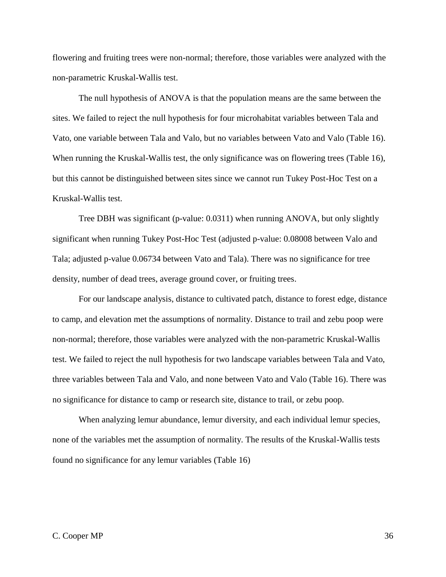flowering and fruiting trees were non-normal; therefore, those variables were analyzed with the non-parametric Kruskal-Wallis test.

The null hypothesis of ANOVA is that the population means are the same between the sites. We failed to reject the null hypothesis for four microhabitat variables between Tala and Vato, one variable between Tala and Valo, but no variables between Vato and Valo (Table 16). When running the Kruskal-Wallis test, the only significance was on flowering trees (Table 16), but this cannot be distinguished between sites since we cannot run Tukey Post-Hoc Test on a Kruskal-Wallis test.

Tree DBH was significant (p-value: 0.0311) when running ANOVA, but only slightly significant when running Tukey Post-Hoc Test (adjusted p-value: 0.08008 between Valo and Tala; adjusted p-value 0.06734 between Vato and Tala). There was no significance for tree density, number of dead trees, average ground cover, or fruiting trees.

For our landscape analysis, distance to cultivated patch, distance to forest edge, distance to camp, and elevation met the assumptions of normality. Distance to trail and zebu poop were non-normal; therefore, those variables were analyzed with the non-parametric Kruskal-Wallis test. We failed to reject the null hypothesis for two landscape variables between Tala and Vato, three variables between Tala and Valo, and none between Vato and Valo (Table 16). There was no significance for distance to camp or research site, distance to trail, or zebu poop.

When analyzing lemur abundance, lemur diversity, and each individual lemur species, none of the variables met the assumption of normality. The results of the Kruskal-Wallis tests found no significance for any lemur variables (Table 16)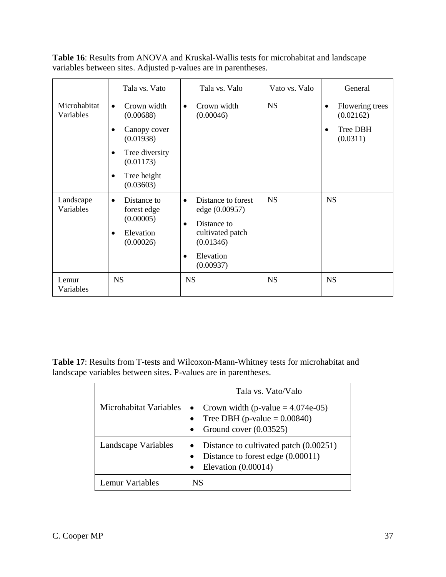|                           | Tala vs. Vato                                    | Tala vs. Valo                                             | Vato vs. Valo | General                                   |
|---------------------------|--------------------------------------------------|-----------------------------------------------------------|---------------|-------------------------------------------|
| Microhabitat<br>Variables | Crown width<br>$\bullet$<br>(0.00688)            | Crown width<br>$\bullet$<br>(0.00046)                     | <b>NS</b>     | Flowering trees<br>$\bullet$<br>(0.02162) |
|                           | Canopy cover<br>$\bullet$<br>(0.01938)           |                                                           |               | Tree DBH<br>$\bullet$<br>(0.0311)         |
|                           | Tree diversity<br>$\bullet$<br>(0.01173)         |                                                           |               |                                           |
|                           | Tree height<br>٠<br>(0.03603)                    |                                                           |               |                                           |
| Landscape<br>Variables    | Distance to<br>$\bullet$<br>forest edge          | Distance to forest<br>$\bullet$<br>edge (0.00957)         | <b>NS</b>     | <b>NS</b>                                 |
|                           | (0.00005)<br>Elevation<br>$\bullet$<br>(0.00026) | Distance to<br>$\bullet$<br>cultivated patch<br>(0.01346) |               |                                           |
|                           |                                                  | Elevation<br>$\bullet$<br>(0.00937)                       |               |                                           |
| Lemur<br>Variables        | <b>NS</b>                                        | <b>NS</b>                                                 | <b>NS</b>     | <b>NS</b>                                 |

**Table 16**: Results from ANOVA and Kruskal-Wallis tests for microhabitat and landscape variables between sites. Adjusted p-values are in parentheses.

**Table 17**: Results from T-tests and Wilcoxon-Mann-Whitney tests for microhabitat and landscape variables between sites. P-values are in parentheses.

|                        | Tala vs. Vato/Valo                                                                                                |
|------------------------|-------------------------------------------------------------------------------------------------------------------|
| Microhabitat Variables | • Crown width (p-value $= 4.074e-05$ )<br>Tree DBH (p-value $= 0.00840$ )<br>Ground cover (0.03525)               |
| Landscape Variables    | Distance to cultivated patch (0.00251)<br>Distance to forest edge (0.00011)<br>$\bullet$<br>Elevation $(0.00014)$ |
| Lemur Variables        | NS                                                                                                                |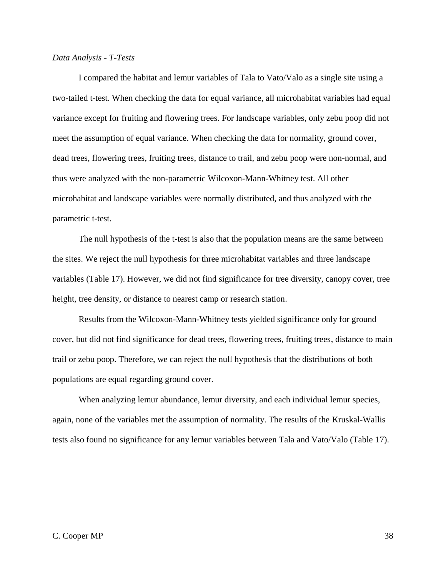#### *Data Analysis - T-Tests*

I compared the habitat and lemur variables of Tala to Vato/Valo as a single site using a two-tailed t-test. When checking the data for equal variance, all microhabitat variables had equal variance except for fruiting and flowering trees. For landscape variables, only zebu poop did not meet the assumption of equal variance. When checking the data for normality, ground cover, dead trees, flowering trees, fruiting trees, distance to trail, and zebu poop were non-normal, and thus were analyzed with the non-parametric Wilcoxon-Mann-Whitney test. All other microhabitat and landscape variables were normally distributed, and thus analyzed with the parametric t-test.

The null hypothesis of the t-test is also that the population means are the same between the sites. We reject the null hypothesis for three microhabitat variables and three landscape variables (Table 17). However, we did not find significance for tree diversity, canopy cover, tree height, tree density, or distance to nearest camp or research station.

Results from the Wilcoxon-Mann-Whitney tests yielded significance only for ground cover, but did not find significance for dead trees, flowering trees, fruiting trees, distance to main trail or zebu poop. Therefore, we can reject the null hypothesis that the distributions of both populations are equal regarding ground cover.

When analyzing lemur abundance, lemur diversity, and each individual lemur species, again, none of the variables met the assumption of normality. The results of the Kruskal-Wallis tests also found no significance for any lemur variables between Tala and Vato/Valo (Table 17).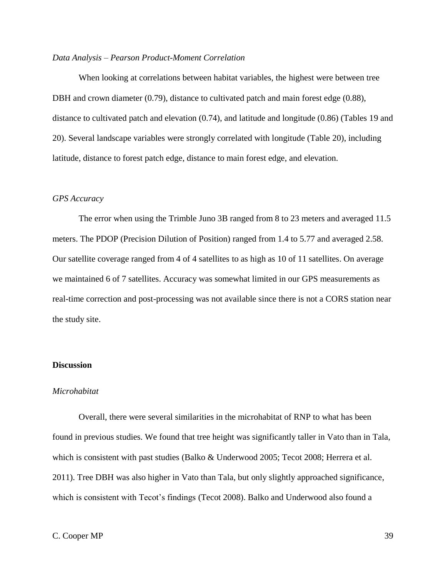#### *Data Analysis – Pearson Product-Moment Correlation*

When looking at correlations between habitat variables, the highest were between tree DBH and crown diameter (0.79), distance to cultivated patch and main forest edge (0.88), distance to cultivated patch and elevation (0.74), and latitude and longitude (0.86) (Tables 19 and 20). Several landscape variables were strongly correlated with longitude (Table 20), including latitude, distance to forest patch edge, distance to main forest edge, and elevation.

## *GPS Accuracy*

The error when using the Trimble Juno 3B ranged from 8 to 23 meters and averaged 11.5 meters. The PDOP (Precision Dilution of Position) ranged from 1.4 to 5.77 and averaged 2.58. Our satellite coverage ranged from 4 of 4 satellites to as high as 10 of 11 satellites. On average we maintained 6 of 7 satellites. Accuracy was somewhat limited in our GPS measurements as real-time correction and post-processing was not available since there is not a CORS station near the study site.

### **Discussion**

#### *Microhabitat*

Overall, there were several similarities in the microhabitat of RNP to what has been found in previous studies. We found that tree height was significantly taller in Vato than in Tala, which is consistent with past studies (Balko & Underwood 2005; Tecot 2008; Herrera et al. 2011). Tree DBH was also higher in Vato than Tala, but only slightly approached significance, which is consistent with Tecot's findings (Tecot 2008). Balko and Underwood also found a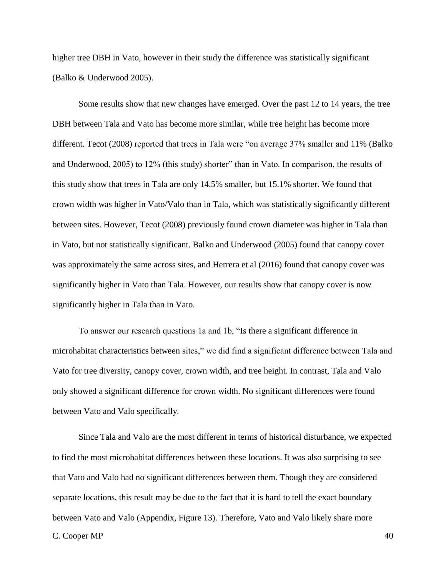higher tree DBH in Vato, however in their study the difference was statistically significant (Balko & Underwood 2005).

Some results show that new changes have emerged. Over the past 12 to 14 years, the tree DBH between Tala and Vato has become more similar, while tree height has become more different. Tecot (2008) reported that trees in Tala were "on average 37% smaller and 11% (Balko and Underwood, 2005) to 12% (this study) shorter" than in Vato. In comparison, the results of this study show that trees in Tala are only 14.5% smaller, but 15.1% shorter. We found that crown width was higher in Vato/Valo than in Tala, which was statistically significantly different between sites. However, Tecot (2008) previously found crown diameter was higher in Tala than in Vato, but not statistically significant. Balko and Underwood (2005) found that canopy cover was approximately the same across sites, and Herrera et al (2016) found that canopy cover was significantly higher in Vato than Tala. However, our results show that canopy cover is now significantly higher in Tala than in Vato.

To answer our research questions 1a and 1b, "Is there a significant difference in microhabitat characteristics between sites," we did find a significant difference between Tala and Vato for tree diversity, canopy cover, crown width, and tree height. In contrast, Tala and Valo only showed a significant difference for crown width. No significant differences were found between Vato and Valo specifically.

C. Cooper MP 40 Since Tala and Valo are the most different in terms of historical disturbance, we expected to find the most microhabitat differences between these locations. It was also surprising to see that Vato and Valo had no significant differences between them. Though they are considered separate locations, this result may be due to the fact that it is hard to tell the exact boundary between Vato and Valo (Appendix, Figure 13). Therefore, Vato and Valo likely share more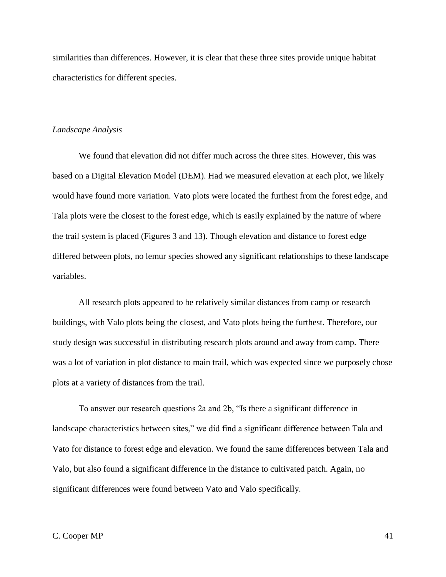similarities than differences. However, it is clear that these three sites provide unique habitat characteristics for different species.

## *Landscape Analysis*

We found that elevation did not differ much across the three sites. However, this was based on a Digital Elevation Model (DEM). Had we measured elevation at each plot, we likely would have found more variation. Vato plots were located the furthest from the forest edge, and Tala plots were the closest to the forest edge, which is easily explained by the nature of where the trail system is placed (Figures 3 and 13). Though elevation and distance to forest edge differed between plots, no lemur species showed any significant relationships to these landscape variables.

All research plots appeared to be relatively similar distances from camp or research buildings, with Valo plots being the closest, and Vato plots being the furthest. Therefore, our study design was successful in distributing research plots around and away from camp. There was a lot of variation in plot distance to main trail, which was expected since we purposely chose plots at a variety of distances from the trail.

To answer our research questions 2a and 2b, "Is there a significant difference in landscape characteristics between sites," we did find a significant difference between Tala and Vato for distance to forest edge and elevation. We found the same differences between Tala and Valo, but also found a significant difference in the distance to cultivated patch. Again, no significant differences were found between Vato and Valo specifically.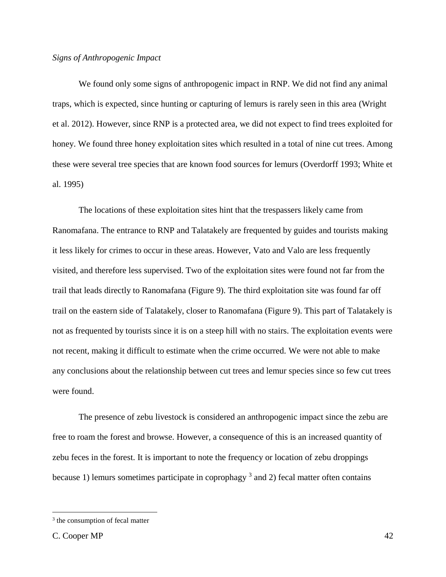## *Signs of Anthropogenic Impact*

We found only some signs of anthropogenic impact in RNP. We did not find any animal traps, which is expected, since hunting or capturing of lemurs is rarely seen in this area (Wright et al. 2012). However, since RNP is a protected area, we did not expect to find trees exploited for honey. We found three honey exploitation sites which resulted in a total of nine cut trees. Among these were several tree species that are known food sources for lemurs (Overdorff 1993; White et al. 1995)

The locations of these exploitation sites hint that the trespassers likely came from Ranomafana. The entrance to RNP and Talatakely are frequented by guides and tourists making it less likely for crimes to occur in these areas. However, Vato and Valo are less frequently visited, and therefore less supervised. Two of the exploitation sites were found not far from the trail that leads directly to Ranomafana (Figure 9). The third exploitation site was found far off trail on the eastern side of Talatakely, closer to Ranomafana (Figure 9). This part of Talatakely is not as frequented by tourists since it is on a steep hill with no stairs. The exploitation events were not recent, making it difficult to estimate when the crime occurred. We were not able to make any conclusions about the relationship between cut trees and lemur species since so few cut trees were found.

The presence of zebu livestock is considered an anthropogenic impact since the zebu are free to roam the forest and browse. However, a consequence of this is an increased quantity of zebu feces in the forest. It is important to note the frequency or location of zebu droppings because 1) lemurs sometimes participate in coprophagy  $3$  and 2) fecal matter often contains

 $\overline{a}$ 

<sup>&</sup>lt;sup>3</sup> the consumption of fecal matter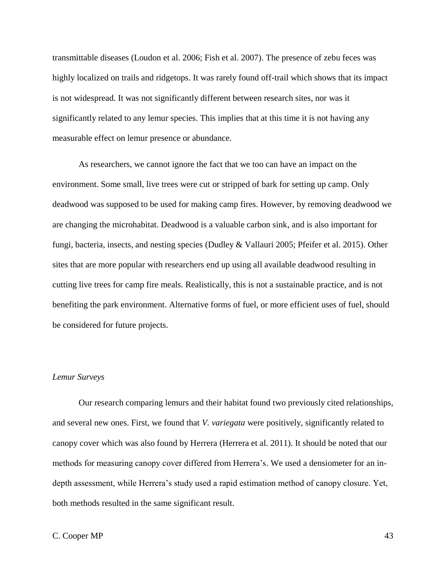transmittable diseases (Loudon et al. 2006; Fish et al. 2007). The presence of zebu feces was highly localized on trails and ridgetops. It was rarely found off-trail which shows that its impact is not widespread. It was not significantly different between research sites, nor was it significantly related to any lemur species. This implies that at this time it is not having any measurable effect on lemur presence or abundance.

As researchers, we cannot ignore the fact that we too can have an impact on the environment. Some small, live trees were cut or stripped of bark for setting up camp. Only deadwood was supposed to be used for making camp fires. However, by removing deadwood we are changing the microhabitat. Deadwood is a valuable carbon sink, and is also important for fungi, bacteria, insects, and nesting species (Dudley & Vallauri 2005; Pfeifer et al. 2015). Other sites that are more popular with researchers end up using all available deadwood resulting in cutting live trees for camp fire meals. Realistically, this is not a sustainable practice, and is not benefiting the park environment. Alternative forms of fuel, or more efficient uses of fuel, should be considered for future projects.

## *Lemur Surveys*

Our research comparing lemurs and their habitat found two previously cited relationships, and several new ones. First, we found that *V. variegata* were positively, significantly related to canopy cover which was also found by Herrera (Herrera et al. 2011). It should be noted that our methods for measuring canopy cover differed from Herrera's. We used a densiometer for an indepth assessment, while Herrera's study used a rapid estimation method of canopy closure. Yet, both methods resulted in the same significant result.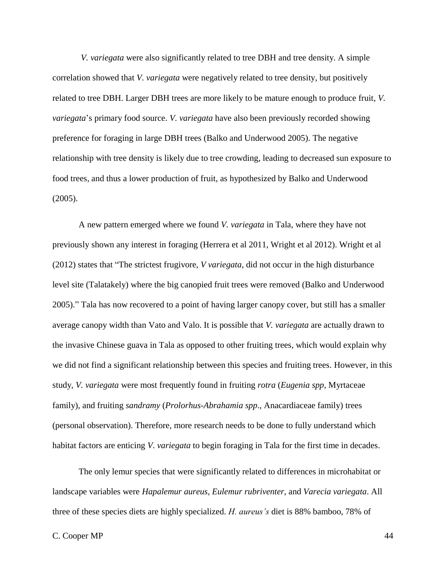*V. variegata* were also significantly related to tree DBH and tree density. A simple correlation showed that *V. variegata* were negatively related to tree density, but positively related to tree DBH. Larger DBH trees are more likely to be mature enough to produce fruit, *V. variegata*'s primary food source. *V. variegata* have also been previously recorded showing preference for foraging in large DBH trees (Balko and Underwood 2005). The negative relationship with tree density is likely due to tree crowding, leading to decreased sun exposure to food trees, and thus a lower production of fruit, as hypothesized by Balko and Underwood (2005).

A new pattern emerged where we found *V. variegata* in Tala, where they have not previously shown any interest in foraging (Herrera et al 2011, Wright et al 2012). Wright et al (2012) states that "The strictest frugivore, *V variegata*, did not occur in the high disturbance level site (Talatakely) where the big canopied fruit trees were removed (Balko and Underwood 2005)." Tala has now recovered to a point of having larger canopy cover, but still has a smaller average canopy width than Vato and Valo. It is possible that *V. variegata* are actually drawn to the invasive Chinese guava in Tala as opposed to other fruiting trees, which would explain why we did not find a significant relationship between this species and fruiting trees. However, in this study, *V. variegata* were most frequently found in fruiting *rotra* (*Eugenia spp,* Myrtaceae family), and fruiting *sandramy* (*Prolorhus-Abrahamia spp*., Anacardiaceae family) trees (personal observation). Therefore, more research needs to be done to fully understand which habitat factors are enticing *V. variegata* to begin foraging in Tala for the first time in decades.

The only lemur species that were significantly related to differences in microhabitat or landscape variables were *Hapalemur aureus, Eulemur rubriventer*, and *Varecia variegata*. All three of these species diets are highly specialized. *H. aureus's* diet is 88% bamboo, 78% of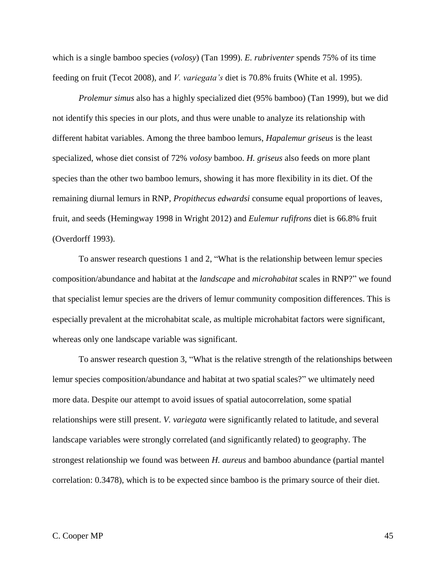which is a single bamboo species (*volosy*) (Tan 1999). *E. rubriventer* spends 75% of its time feeding on fruit (Tecot 2008), and *V. variegata's* diet is 70.8% fruits (White et al. 1995).

*Prolemur simus* also has a highly specialized diet (95% bamboo) (Tan 1999), but we did not identify this species in our plots, and thus were unable to analyze its relationship with different habitat variables. Among the three bamboo lemurs, *Hapalemur griseus* is the least specialized, whose diet consist of 72% *volosy* bamboo. *H. griseus* also feeds on more plant species than the other two bamboo lemurs, showing it has more flexibility in its diet. Of the remaining diurnal lemurs in RNP, *Propithecus edwardsi* consume equal proportions of leaves, fruit, and seeds (Hemingway 1998 in Wright 2012) and *Eulemur rufifrons* diet is 66.8% fruit (Overdorff 1993).

To answer research questions 1 and 2, "What is the relationship between lemur species composition/abundance and habitat at the *landscape* and *microhabitat* scales in RNP?" we found that specialist lemur species are the drivers of lemur community composition differences. This is especially prevalent at the microhabitat scale, as multiple microhabitat factors were significant, whereas only one landscape variable was significant.

To answer research question 3, "What is the relative strength of the relationships between lemur species composition/abundance and habitat at two spatial scales?" we ultimately need more data. Despite our attempt to avoid issues of spatial autocorrelation, some spatial relationships were still present. *V. variegata* were significantly related to latitude, and several landscape variables were strongly correlated (and significantly related) to geography. The strongest relationship we found was between *H. aureus* and bamboo abundance (partial mantel correlation: 0.3478), which is to be expected since bamboo is the primary source of their diet.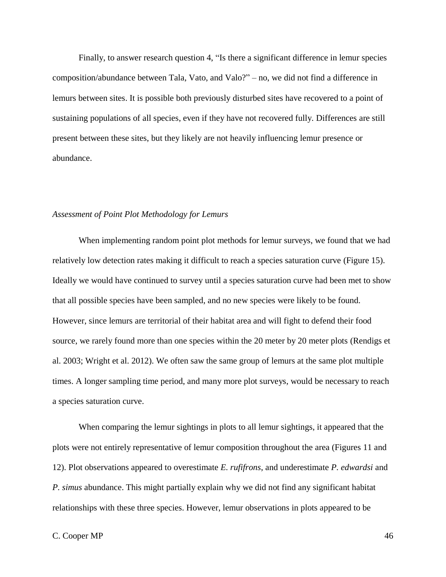Finally, to answer research question 4, "Is there a significant difference in lemur species composition/abundance between Tala, Vato, and Valo?" – no, we did not find a difference in lemurs between sites. It is possible both previously disturbed sites have recovered to a point of sustaining populations of all species, even if they have not recovered fully. Differences are still present between these sites, but they likely are not heavily influencing lemur presence or abundance.

#### *Assessment of Point Plot Methodology for Lemurs*

When implementing random point plot methods for lemur surveys, we found that we had relatively low detection rates making it difficult to reach a species saturation curve (Figure 15). Ideally we would have continued to survey until a species saturation curve had been met to show that all possible species have been sampled, and no new species were likely to be found. However, since lemurs are territorial of their habitat area and will fight to defend their food source, we rarely found more than one species within the 20 meter by 20 meter plots (Rendigs et al. 2003; Wright et al. 2012). We often saw the same group of lemurs at the same plot multiple times. A longer sampling time period, and many more plot surveys, would be necessary to reach a species saturation curve.

When comparing the lemur sightings in plots to all lemur sightings, it appeared that the plots were not entirely representative of lemur composition throughout the area (Figures 11 and 12). Plot observations appeared to overestimate *E. rufifrons*, and underestimate *P. edwardsi* and *P. simus* abundance. This might partially explain why we did not find any significant habitat relationships with these three species. However, lemur observations in plots appeared to be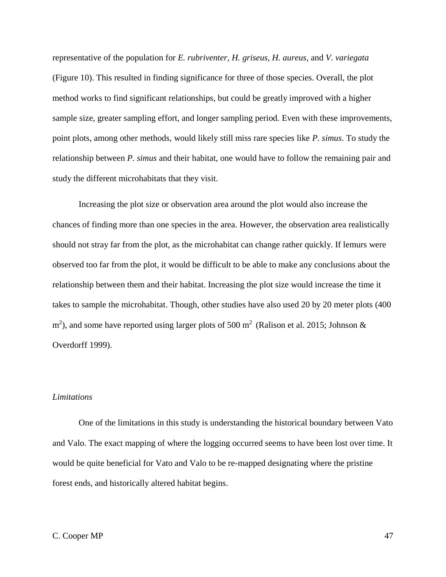representative of the population for *E. rubriventer, H. griseus, H. aureus,* and *V. variegata* (Figure 10). This resulted in finding significance for three of those species. Overall, the plot method works to find significant relationships, but could be greatly improved with a higher sample size, greater sampling effort, and longer sampling period. Even with these improvements, point plots, among other methods, would likely still miss rare species like *P. simus*. To study the relationship between *P. simus* and their habitat, one would have to follow the remaining pair and study the different microhabitats that they visit.

Increasing the plot size or observation area around the plot would also increase the chances of finding more than one species in the area. However, the observation area realistically should not stray far from the plot, as the microhabitat can change rather quickly. If lemurs were observed too far from the plot, it would be difficult to be able to make any conclusions about the relationship between them and their habitat. Increasing the plot size would increase the time it takes to sample the microhabitat. Though, other studies have also used 20 by 20 meter plots (400  $\text{m}^2$ ), and some have reported using larger plots of 500 m<sup>2</sup> (Ralison et al. 2015; Johnson & Overdorff 1999).

## *Limitations*

One of the limitations in this study is understanding the historical boundary between Vato and Valo. The exact mapping of where the logging occurred seems to have been lost over time. It would be quite beneficial for Vato and Valo to be re-mapped designating where the pristine forest ends, and historically altered habitat begins.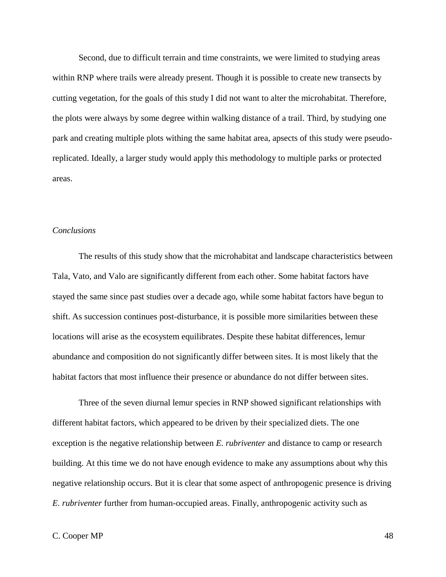Second, due to difficult terrain and time constraints, we were limited to studying areas within RNP where trails were already present. Though it is possible to create new transects by cutting vegetation, for the goals of this study I did not want to alter the microhabitat. Therefore, the plots were always by some degree within walking distance of a trail. Third, by studying one park and creating multiple plots withing the same habitat area, apsects of this study were pseudoreplicated. Ideally, a larger study would apply this methodology to multiple parks or protected areas.

## *Conclusions*

The results of this study show that the microhabitat and landscape characteristics between Tala, Vato, and Valo are significantly different from each other. Some habitat factors have stayed the same since past studies over a decade ago, while some habitat factors have begun to shift. As succession continues post-disturbance, it is possible more similarities between these locations will arise as the ecosystem equilibrates. Despite these habitat differences, lemur abundance and composition do not significantly differ between sites. It is most likely that the habitat factors that most influence their presence or abundance do not differ between sites.

Three of the seven diurnal lemur species in RNP showed significant relationships with different habitat factors, which appeared to be driven by their specialized diets. The one exception is the negative relationship between *E. rubriventer* and distance to camp or research building. At this time we do not have enough evidence to make any assumptions about why this negative relationship occurs. But it is clear that some aspect of anthropogenic presence is driving *E. rubriventer* further from human-occupied areas. Finally, anthropogenic activity such as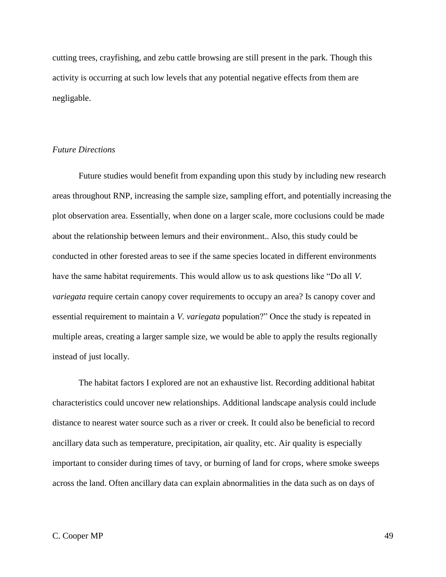cutting trees, crayfishing, and zebu cattle browsing are still present in the park. Though this activity is occurring at such low levels that any potential negative effects from them are negligable.

### *Future Directions*

Future studies would benefit from expanding upon this study by including new research areas throughout RNP, increasing the sample size, sampling effort, and potentially increasing the plot observation area. Essentially, when done on a larger scale, more coclusions could be made about the relationship between lemurs and their environment.. Also, this study could be conducted in other forested areas to see if the same species located in different environments have the same habitat requirements. This would allow us to ask questions like "Do all *V. variegata* require certain canopy cover requirements to occupy an area? Is canopy cover and essential requirement to maintain a *V. variegata* population?" Once the study is repeated in multiple areas, creating a larger sample size, we would be able to apply the results regionally instead of just locally.

The habitat factors I explored are not an exhaustive list. Recording additional habitat characteristics could uncover new relationships. Additional landscape analysis could include distance to nearest water source such as a river or creek. It could also be beneficial to record ancillary data such as temperature, precipitation, air quality, etc. Air quality is especially important to consider during times of tavy, or burning of land for crops, where smoke sweeps across the land. Often ancillary data can explain abnormalities in the data such as on days of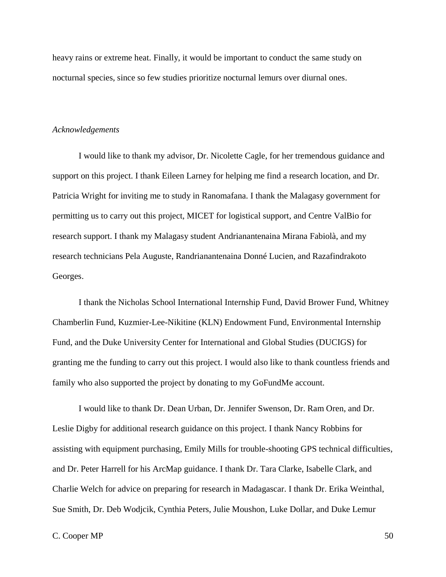heavy rains or extreme heat. Finally, it would be important to conduct the same study on nocturnal species, since so few studies prioritize nocturnal lemurs over diurnal ones.

## *Acknowledgements*

I would like to thank my advisor, Dr. Nicolette Cagle, for her tremendous guidance and support on this project. I thank Eileen Larney for helping me find a research location, and Dr. Patricia Wright for inviting me to study in Ranomafana. I thank the Malagasy government for permitting us to carry out this project, MICET for logistical support, and Centre ValBio for research support. I thank my Malagasy student Andrianantenaina Mirana Fabiolà, and my research technicians Pela Auguste, Randrianantenaina Donné Lucien, and Razafindrakoto Georges.

I thank the Nicholas School International Internship Fund, David Brower Fund, Whitney Chamberlin Fund, Kuzmier-Lee-Nikitine (KLN) Endowment Fund, Environmental Internship Fund, and the Duke University Center for International and Global Studies (DUCIGS) for granting me the funding to carry out this project. I would also like to thank countless friends and family who also supported the project by donating to my GoFundMe account.

I would like to thank Dr. Dean Urban, Dr. Jennifer Swenson, Dr. Ram Oren, and Dr. Leslie Digby for additional research guidance on this project. I thank Nancy Robbins for assisting with equipment purchasing, Emily Mills for trouble-shooting GPS technical difficulties, and Dr. Peter Harrell for his ArcMap guidance. I thank Dr. Tara Clarke, Isabelle Clark, and Charlie Welch for advice on preparing for research in Madagascar. I thank Dr. Erika Weinthal, Sue Smith, Dr. Deb Wodjcik, Cynthia Peters, Julie Moushon, Luke Dollar, and Duke Lemur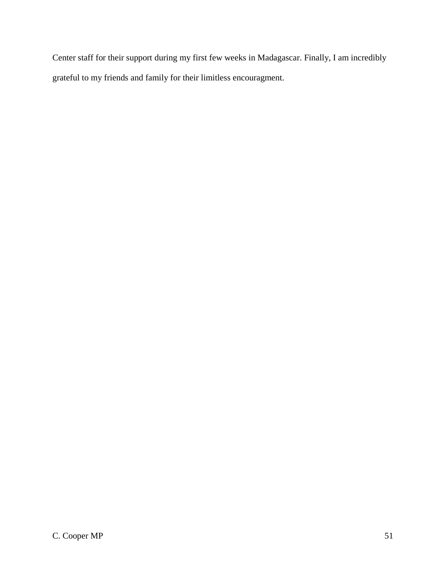Center staff for their support during my first few weeks in Madagascar. Finally, I am incredibly grateful to my friends and family for their limitless encouragment.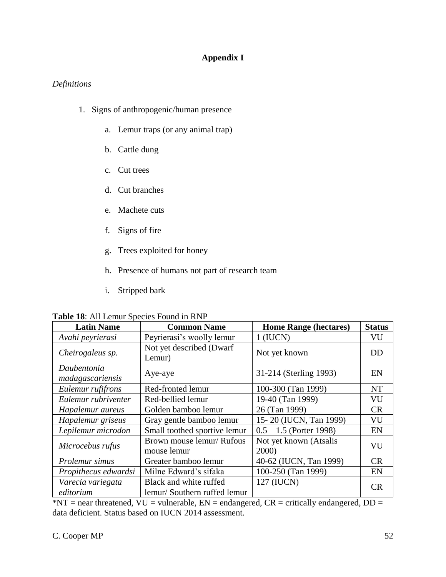# **Appendix I**

## *Definitions*

- 1. Signs of anthropogenic/human presence
	- a. Lemur traps (or any animal trap)
	- b. Cattle dung
	- c. Cut trees
	- d. Cut branches
	- e. Machete cuts
	- f. Signs of fire
	- g. Trees exploited for honey
	- h. Presence of humans not part of research team
	- i. Stripped bark

| <b>Latin Name</b>               | <b>Common Name</b>                                    | <b>Home Range (hectares)</b>    | <b>Status</b> |
|---------------------------------|-------------------------------------------------------|---------------------------------|---------------|
| Avahi peyrierasi                | Peyrierasi's woolly lemur                             | $1$ (IUCN)                      | VU            |
| Cheirogaleus sp.                | Not yet described (Dwarf<br>Lemur)                    | Not yet known                   | DD            |
| Daubentonia<br>madagascariensis | Aye-aye                                               | 31-214 (Sterling 1993)          | EN            |
| Eulemur rufifrons               | Red-fronted lemur                                     | 100-300 (Tan 1999)              | <b>NT</b>     |
| Eulemur rubriventer             | Red-bellied lemur                                     | 19-40 (Tan 1999)                | VU            |
| Hapalemur aureus                | Golden bamboo lemur                                   | 26 (Tan 1999)                   | CR            |
| Hapalemur griseus               | Gray gentle bamboo lemur                              | 15-20 (IUCN, Tan 1999)          | VU            |
| Lepilemur microdon              | Small toothed sportive lemur                          | $0.5 - 1.5$ (Porter 1998)       | EN            |
| Microcebus rufus                | Brown mouse lemur/ Rufous<br>mouse lemur              | Not yet known (Atsalis<br>2000) | VU            |
| Prolemur simus                  | Greater bamboo lemur                                  | 40-62 (IUCN, Tan 1999)          | CR            |
| Propithecus edwardsi            | Milne Edward's sifaka                                 | 100-250 (Tan 1999)              | EN            |
| Varecia variegata<br>editorium  | Black and white ruffed<br>lemur/Southern ruffed lemur | 127 (IUCN)                      | <b>CR</b>     |

**Table 18**: All Lemur Species Found in RNP

 $*NT = near the the area, VU = vulnerable, EN = endangered, CR = critically endangered, DD =$ data deficient. Status based on IUCN 2014 assessment.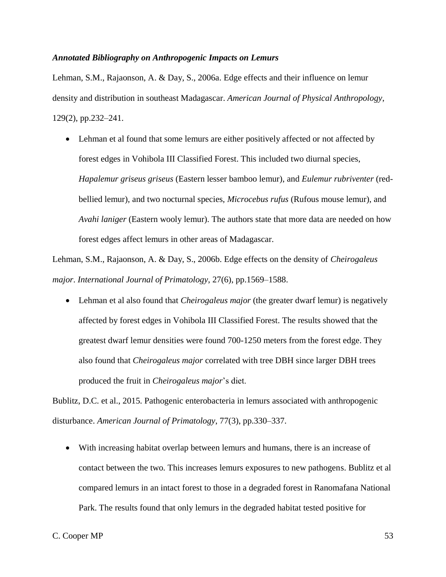## *Annotated Bibliography on Anthropogenic Impacts on Lemurs*

Lehman, S.M., Rajaonson, A. & Day, S., 2006a. Edge effects and their influence on lemur density and distribution in southeast Madagascar. *American Journal of Physical Anthropology*, 129(2), pp.232–241.

• Lehman et al found that some lemurs are either positively affected or not affected by forest edges in Vohibola III Classified Forest. This included two diurnal species, *Hapalemur griseus griseus* (Eastern lesser bamboo lemur), and *Eulemur rubriventer* (redbellied lemur), and two nocturnal species, *Microcebus rufus* (Rufous mouse lemur), and *Avahi laniger* (Eastern wooly lemur). The authors state that more data are needed on how forest edges affect lemurs in other areas of Madagascar.

Lehman, S.M., Rajaonson, A. & Day, S., 2006b. Edge effects on the density of *Cheirogaleus major*. *International Journal of Primatology*, 27(6), pp.1569–1588.

• Lehman et al also found that *Cheirogaleus major* (the greater dwarf lemur) is negatively affected by forest edges in Vohibola III Classified Forest. The results showed that the greatest dwarf lemur densities were found 700-1250 meters from the forest edge. They also found that *Cheirogaleus major* correlated with tree DBH since larger DBH trees produced the fruit in *Cheirogaleus major*'s diet.

Bublitz, D.C. et al., 2015. Pathogenic enterobacteria in lemurs associated with anthropogenic disturbance. *American Journal of Primatology*, 77(3), pp.330–337.

• With increasing habitat overlap between lemurs and humans, there is an increase of contact between the two. This increases lemurs exposures to new pathogens. Bublitz et al compared lemurs in an intact forest to those in a degraded forest in Ranomafana National Park. The results found that only lemurs in the degraded habitat tested positive for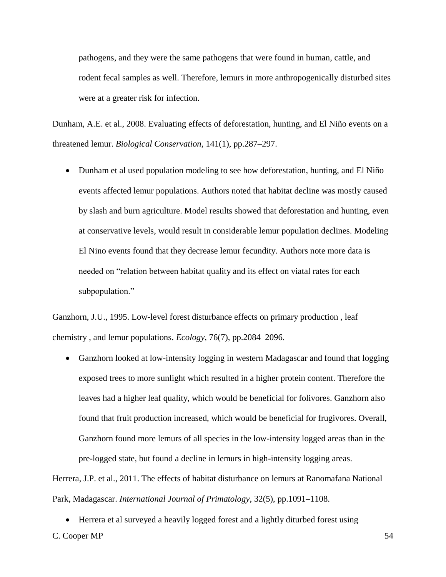pathogens, and they were the same pathogens that were found in human, cattle, and rodent fecal samples as well. Therefore, lemurs in more anthropogenically disturbed sites were at a greater risk for infection.

Dunham, A.E. et al., 2008. Evaluating effects of deforestation, hunting, and El Niño events on a threatened lemur. *Biological Conservation*, 141(1), pp.287–297.

• Dunham et al used population modeling to see how deforestation, hunting, and El Niño events affected lemur populations. Authors noted that habitat decline was mostly caused by slash and burn agriculture. Model results showed that deforestation and hunting, even at conservative levels, would result in considerable lemur population declines. Modeling El Nino events found that they decrease lemur fecundity. Authors note more data is needed on "relation between habitat quality and its effect on viatal rates for each subpopulation."

Ganzhorn, J.U., 1995. Low-level forest disturbance effects on primary production , leaf chemistry , and lemur populations. *Ecology*, 76(7), pp.2084–2096.

• Ganzhorn looked at low-intensity logging in western Madagascar and found that logging exposed trees to more sunlight which resulted in a higher protein content. Therefore the leaves had a higher leaf quality, which would be beneficial for folivores. Ganzhorn also found that fruit production increased, which would be beneficial for frugivores. Overall, Ganzhorn found more lemurs of all species in the low-intensity logged areas than in the pre-logged state, but found a decline in lemurs in high-intensity logging areas.

Herrera, J.P. et al., 2011. The effects of habitat disturbance on lemurs at Ranomafana National Park, Madagascar. *International Journal of Primatology*, 32(5), pp.1091–1108.

• Herrera et al surveyed a heavily logged forest and a lightly diturbed forest using

C. Cooper MP 54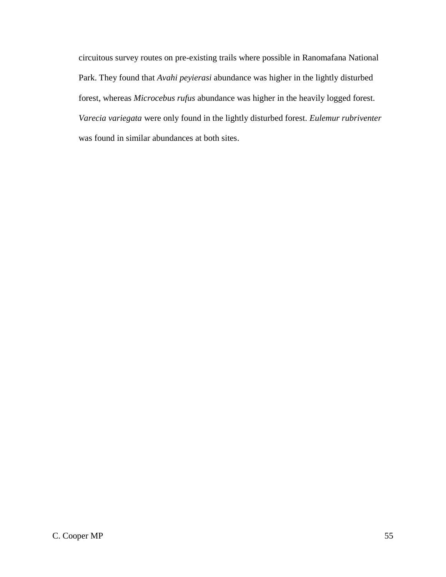circuitous survey routes on pre-existing trails where possible in Ranomafana National Park. They found that *Avahi peyierasi* abundance was higher in the lightly disturbed forest, whereas *Microcebus rufus* abundance was higher in the heavily logged forest. *Varecia variegata* were only found in the lightly disturbed forest. *Eulemur rubriventer* was found in similar abundances at both sites.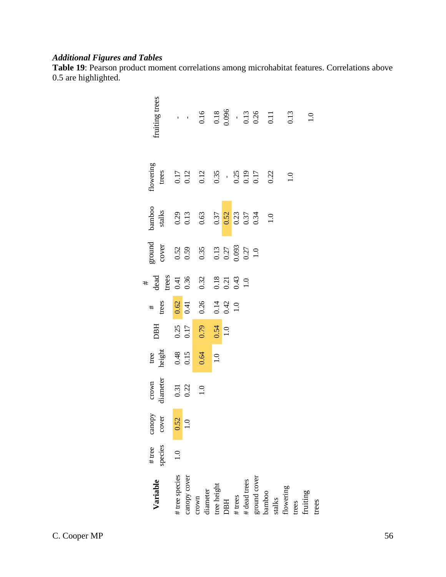# *Additional Figures and Tables*

**Table 19**: Pearson product moment correlations among microhabitat features. Correlations above 0.5 are highlighted.

| Variable                             | $#$ tree<br>species | canopy<br>cover    | diameter<br>crown                                  |                                               | <b>DBH</b>                   | $\frac{4}{1}$                                       | $\begin{array}{c} \text{\#} \\ \text{dead} \\ \text{trees} \\ 0.41 \\ \end{array}$ | ground<br>cover                                                                                | $b$ amboo<br>stalks                                      | flowering<br>trees                                                                                                | fruiting trees                                                                                                                                  |
|--------------------------------------|---------------------|--------------------|----------------------------------------------------|-----------------------------------------------|------------------------------|-----------------------------------------------------|------------------------------------------------------------------------------------|------------------------------------------------------------------------------------------------|----------------------------------------------------------|-------------------------------------------------------------------------------------------------------------------|-------------------------------------------------------------------------------------------------------------------------------------------------|
|                                      |                     |                    |                                                    |                                               |                              |                                                     |                                                                                    |                                                                                                |                                                          |                                                                                                                   |                                                                                                                                                 |
| # tree species                       | $\frac{0}{1}$       | $\frac{0.52}{1.0}$ |                                                    |                                               |                              |                                                     |                                                                                    |                                                                                                |                                                          |                                                                                                                   |                                                                                                                                                 |
| canopy cover                         |                     |                    |                                                    |                                               |                              |                                                     |                                                                                    |                                                                                                |                                                          |                                                                                                                   |                                                                                                                                                 |
| diameter<br>crown                    |                     |                    | $\begin{array}{c} 0.31 \\ 0.22 \\ 1.0 \end{array}$ | tree<br>height<br>0.48<br>0.15<br>0.64<br>1.0 | 0.25<br>0.17<br>0.79<br>0.54 | $\frac{0.62}{0.41}$<br>0.26<br>0.24<br>0.42<br>0.10 | 0.32                                                                               | $\begin{array}{c} 0.52 \\ 0.59 \\ 0.35 \\ 0.13 \\ 0.027 \\ 0.093 \\ 1.0 \\ 1.0 \\ \end{array}$ | $0.29$<br>$0.13$<br>$0.63$<br>$0.37$<br>$0.37$<br>$0.34$ | $\begin{array}{cc}\n 0.17 \\  0.12 \\  0.35 \\  0.35 \\  0.2 \\  0.17 \\  0.12 \\  0.03 \\  0.02 \\  \end{array}$ | $\frac{1}{100}$ $\frac{1}{000}$ $\frac{1}{000}$ $\frac{1}{000}$ $\frac{1}{000}$ $\frac{1}{000}$ $\frac{1}{000}$ $\frac{1}{000}$ $\frac{1}{000}$ |
| tree height                          |                     |                    |                                                    |                                               |                              |                                                     |                                                                                    |                                                                                                |                                                          |                                                                                                                   |                                                                                                                                                 |
| <b>HEO</b>                           |                     |                    |                                                    |                                               |                              |                                                     |                                                                                    |                                                                                                |                                                          |                                                                                                                   |                                                                                                                                                 |
| $#$ trees                            |                     |                    |                                                    |                                               |                              |                                                     | $\begin{array}{c} 0.18 \\ 0.21 \\ 0.43 \\ 1.0 \end{array}$                         |                                                                                                |                                                          |                                                                                                                   |                                                                                                                                                 |
| # dead trees                         |                     |                    |                                                    |                                               |                              |                                                     |                                                                                    |                                                                                                |                                                          |                                                                                                                   |                                                                                                                                                 |
| ut<br>pound cover<br>pamboo<br>*alks |                     |                    |                                                    |                                               |                              |                                                     |                                                                                    |                                                                                                |                                                          |                                                                                                                   |                                                                                                                                                 |
|                                      |                     |                    |                                                    |                                               |                              |                                                     |                                                                                    |                                                                                                | $\frac{0}{1.0}$                                          |                                                                                                                   |                                                                                                                                                 |
|                                      |                     |                    |                                                    |                                               |                              |                                                     |                                                                                    |                                                                                                |                                                          |                                                                                                                   |                                                                                                                                                 |
|                                      |                     |                    |                                                    |                                               |                              |                                                     |                                                                                    |                                                                                                |                                                          | 1.0                                                                                                               | 0.13                                                                                                                                            |
|                                      |                     |                    |                                                    |                                               |                              |                                                     |                                                                                    |                                                                                                |                                                          |                                                                                                                   |                                                                                                                                                 |
| flowering<br>trees<br>fruiting       |                     |                    |                                                    |                                               |                              |                                                     |                                                                                    |                                                                                                |                                                          |                                                                                                                   | $\overline{1.0}$                                                                                                                                |
| trees                                |                     |                    |                                                    |                                               |                              |                                                     |                                                                                    |                                                                                                |                                                          |                                                                                                                   |                                                                                                                                                 |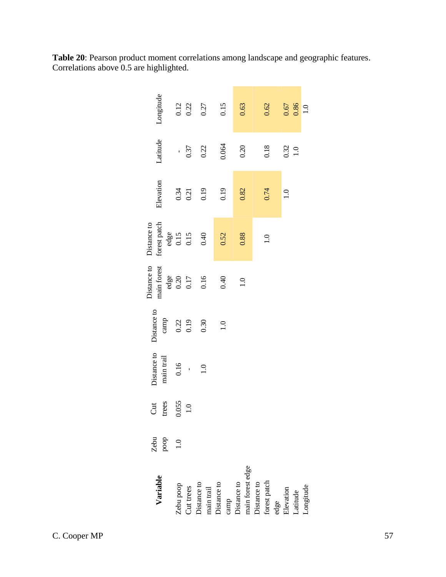|                                    | Zebu                                       | $\overline{C}$      | Distance to    | Distance to      | Distance to          | Distance to              |                  |                    |                     |
|------------------------------------|--------------------------------------------|---------------------|----------------|------------------|----------------------|--------------------------|------------------|--------------------|---------------------|
| Variable                           | $\mathbf{p}\mathbf{o}\mathbf{o}\mathbf{p}$ | trees               | main trail     | camp             | main forest          | forest patch             | Elevation        | Latitude           | Longitude           |
| Zebu poop                          | 1.0                                        | $\frac{0.055}{1.0}$ | 0.16           | $0.22$<br>0.19   | edge<br>0.20<br>0.17 | $^{edge}_{0.15}$<br>0.15 | $0.34$<br>$0.21$ |                    | $\frac{0.12}{0.22}$ |
| Cut trees                          |                                            |                     | $\overline{1}$ |                  |                      |                          |                  | 0.37               |                     |
| Distance to<br>main trail          |                                            |                     | $\frac{0}{1}$  | 0.30             | 0.16                 | 0.40                     | 0.19             | 0.22               | 0.27                |
| camp<br>Distance to<br>Distance to |                                            |                     |                | $\overline{1.0}$ | 0.40                 | 0.52                     | 0.19             | 0.064              | 0.15                |
| main forest edge                   |                                            |                     |                |                  | 1.0                  | 0.88                     | 0.82             | 0.20               | 0.63                |
| forest patch<br>Distance to        |                                            |                     |                |                  |                      | $\overline{1.0}$         | 0.74             | 0.18               | 0.62                |
| edge<br>Elevation<br>Latitude      |                                            |                     |                |                  |                      |                          | $\frac{0}{1}$    |                    |                     |
| Longitude                          |                                            |                     |                |                  |                      |                          |                  | $\frac{0.32}{1.0}$ | 0.67<br>1.0         |

**Table 20**: Pearson product moment correlations among landscape and geographic features. Correlations above 0.5 are highlighted.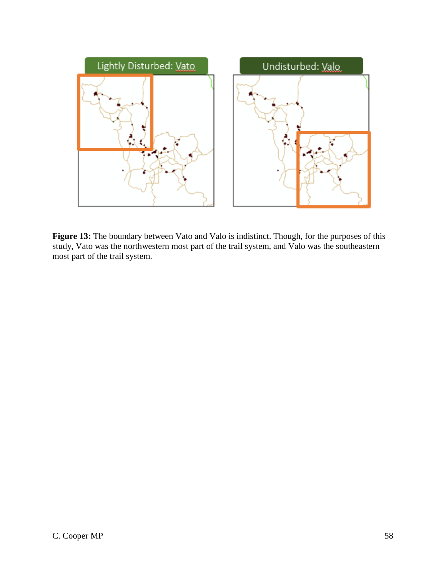

Figure 13: The boundary between Vato and Valo is indistinct. Though, for the purposes of this study, Vato was the northwestern most part of the trail system, and Valo was the southeastern most part of the trail system.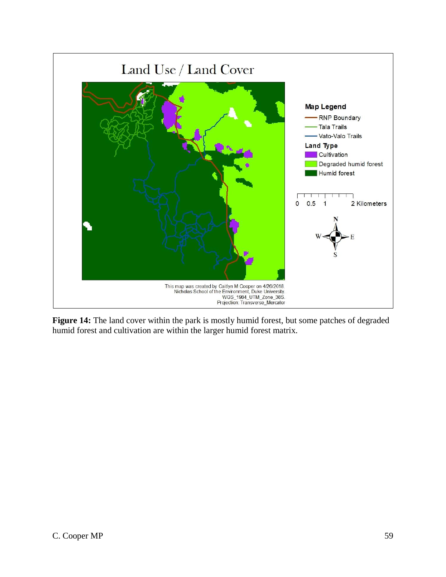

Figure 14: The land cover within the park is mostly humid forest, but some patches of degraded humid forest and cultivation are within the larger humid forest matrix.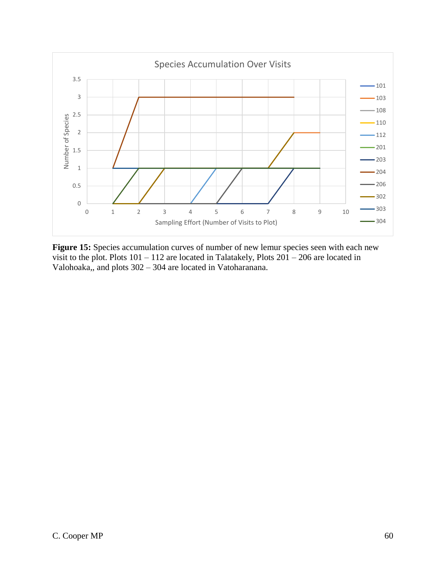

Figure 15: Species accumulation curves of number of new lemur species seen with each new visit to the plot. Plots 101 – 112 are located in Talatakely, Plots 201 – 206 are located in Valohoaka,, and plots 302 – 304 are located in Vatoharanana.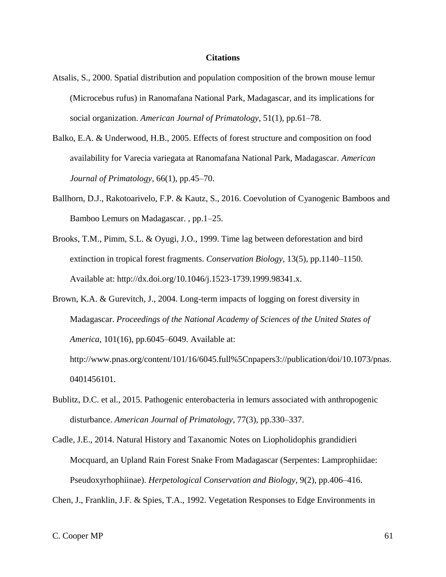#### **Citations**

- Atsalis, S., 2000. Spatial distribution and population composition of the brown mouse lemur (Microcebus rufus) in Ranomafana National Park, Madagascar, and its implications for social organization. *American Journal of Primatology*, 51(1), pp.61–78.
- Balko, E.A. & Underwood, H.B., 2005. Effects of forest structure and composition on food availability for Varecia variegata at Ranomafana National Park, Madagascar. *American Journal of Primatology*, 66(1), pp.45–70.
- Ballhorn, D.J., Rakotoarivelo, F.P. & Kautz, S., 2016. Coevolution of Cyanogenic Bamboos and Bamboo Lemurs on Madagascar. , pp.1–25.
- Brooks, T.M., Pimm, S.L. & Oyugi, J.O., 1999. Time lag between deforestation and bird extinction in tropical forest fragments. *Conservation Biology*, 13(5), pp.1140–1150. Available at: http://dx.doi.org/10.1046/j.1523-1739.1999.98341.x.
- Brown, K.A. & Gurevitch, J., 2004. Long-term impacts of logging on forest diversity in Madagascar. *Proceedings of the National Academy of Sciences of the United States of America*, 101(16), pp.6045–6049. Available at: http://www.pnas.org/content/101/16/6045.full%5Cnpapers3://publication/doi/10.1073/pnas.
- Bublitz, D.C. et al., 2015. Pathogenic enterobacteria in lemurs associated with anthropogenic disturbance. *American Journal of Primatology*, 77(3), pp.330–337.
- Cadle, J.E., 2014. Natural History and Taxanomic Notes on Liopholidophis grandidieri Mocquard, an Upland Rain Forest Snake From Madagascar (Serpentes: Lamprophiidae: Pseudoxyrhophiinae). *Herpetological Conservation and Biology*, 9(2), pp.406–416.

Chen, J., Franklin, J.F. & Spies, T.A., 1992. Vegetation Responses to Edge Environments in

0401456101.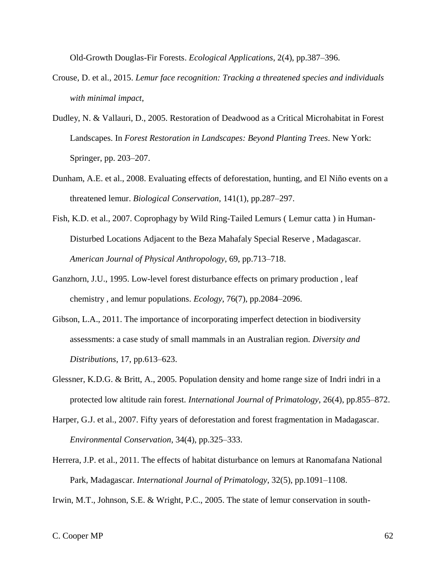Old-Growth Douglas-Fir Forests. *Ecological Applications*, 2(4), pp.387–396.

- Crouse, D. et al., 2015. *Lemur face recognition: Tracking a threatened species and individuals with minimal impact*,
- Dudley, N. & Vallauri, D., 2005. Restoration of Deadwood as a Critical Microhabitat in Forest Landscapes. In *Forest Restoration in Landscapes: Beyond Planting Trees*. New York: Springer, pp. 203–207.
- Dunham, A.E. et al., 2008. Evaluating effects of deforestation, hunting, and El Niño events on a threatened lemur. *Biological Conservation*, 141(1), pp.287–297.
- Fish, K.D. et al., 2007. Coprophagy by Wild Ring-Tailed Lemurs ( Lemur catta ) in Human-Disturbed Locations Adjacent to the Beza Mahafaly Special Reserve , Madagascar. *American Journal of Physical Anthropology*, 69, pp.713–718.
- Ganzhorn, J.U., 1995. Low-level forest disturbance effects on primary production , leaf chemistry , and lemur populations. *Ecology*, 76(7), pp.2084–2096.
- Gibson, L.A., 2011. The importance of incorporating imperfect detection in biodiversity assessments: a case study of small mammals in an Australian region. *Diversity and Distributions*, 17, pp.613–623.
- Glessner, K.D.G. & Britt, A., 2005. Population density and home range size of Indri indri in a protected low altitude rain forest. *International Journal of Primatology*, 26(4), pp.855–872.
- Harper, G.J. et al., 2007. Fifty years of deforestation and forest fragmentation in Madagascar. *Environmental Conservation*, 34(4), pp.325–333.
- Herrera, J.P. et al., 2011. The effects of habitat disturbance on lemurs at Ranomafana National Park, Madagascar. *International Journal of Primatology*, 32(5), pp.1091–1108.

Irwin, M.T., Johnson, S.E. & Wright, P.C., 2005. The state of lemur conservation in south-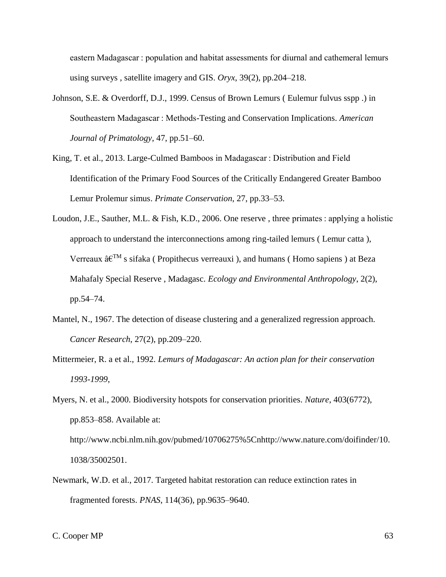eastern Madagascar : population and habitat assessments for diurnal and cathemeral lemurs using surveys , satellite imagery and GIS. *Oryx*, 39(2), pp.204–218.

- Johnson, S.E. & Overdorff, D.J., 1999. Census of Brown Lemurs ( Eulemur fulvus sspp .) in Southeastern Madagascar : Methods-Testing and Conservation Implications. *American Journal of Primatology*, 47, pp.51–60.
- King, T. et al., 2013. Large-Culmed Bamboos in Madagascar : Distribution and Field Identification of the Primary Food Sources of the Critically Endangered Greater Bamboo Lemur Prolemur simus. *Primate Conservation*, 27, pp.33–53.
- Loudon, J.E., Sauther, M.L. & Fish, K.D., 2006. One reserve , three primates : applying a holistic approach to understand the interconnections among ring-tailed lemurs ( Lemur catta ), Verreaux  $\hat{a} \in \mathbb{R}^M$  s sifaka (Propithecus verreauxi), and humans (Homo sapiens) at Beza Mahafaly Special Reserve , Madagasc. *Ecology and Environmental Anthropology*, 2(2), pp.54–74.
- Mantel, N., 1967. The detection of disease clustering and a generalized regression approach. *Cancer Research*, 27(2), pp.209–220.
- Mittermeier, R. a et al., 1992. *Lemurs of Madagascar: An action plan for their conservation 1993-1999*,
- Myers, N. et al., 2000. Biodiversity hotspots for conservation priorities. *Nature*, 403(6772), pp.853–858. Available at: http://www.ncbi.nlm.nih.gov/pubmed/10706275%5Cnhttp://www.nature.com/doifinder/10. 1038/35002501.
- Newmark, W.D. et al., 2017. Targeted habitat restoration can reduce extinction rates in fragmented forests. *PNAS*, 114(36), pp.9635–9640.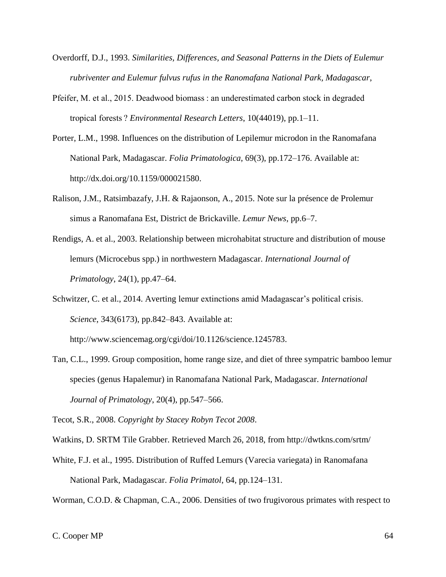- Overdorff, D.J., 1993. *Similarities, Differences, and Seasonal Patterns in the Diets of Eulemur rubriventer and Eulemur fulvus rufus in the Ranomafana National Park, Madagascar*,
- Pfeifer, M. et al., 2015. Deadwood biomass : an underestimated carbon stock in degraded tropical forests ? *Environmental Research Letters*, 10(44019), pp.1–11.
- Porter, L.M., 1998. Influences on the distribution of Lepilemur microdon in the Ranomafana National Park, Madagascar. *Folia Primatologica*, 69(3), pp.172–176. Available at: http://dx.doi.org/10.1159/000021580.
- Ralison, J.M., Ratsimbazafy, J.H. & Rajaonson, A., 2015. Note sur la présence de Prolemur simus a Ranomafana Est, District de Brickaville. *Lemur News*, pp.6–7.
- Rendigs, A. et al., 2003. Relationship between microhabitat structure and distribution of mouse lemurs (Microcebus spp.) in northwestern Madagascar. *International Journal of Primatology*, 24(1), pp.47–64.
- Schwitzer, C. et al., 2014. Averting lemur extinctions amid Madagascar's political crisis. *Science*, 343(6173), pp.842–843. Available at:

http://www.sciencemag.org/cgi/doi/10.1126/science.1245783.

Tan, C.L., 1999. Group composition, home range size, and diet of three sympatric bamboo lemur species (genus Hapalemur) in Ranomafana National Park, Madagascar. *International Journal of Primatology*, 20(4), pp.547–566.

Tecot, S.R., 2008. *Copyright by Stacey Robyn Tecot 2008*.

Watkins, D. SRTM Tile Grabber. Retrieved March 26, 2018, from http://dwtkns.com/srtm/

White, F.J. et al., 1995. Distribution of Ruffed Lemurs (Varecia variegata) in Ranomafana National Park, Madagascar. *Folia Primatol*, 64, pp.124–131.

Worman, C.O.D. & Chapman, C.A., 2006. Densities of two frugivorous primates with respect to